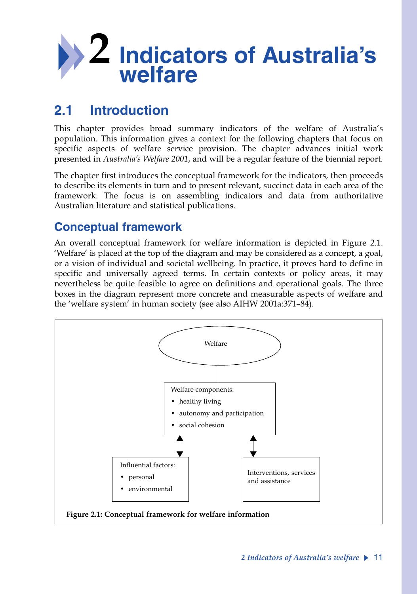

# **2.1 Introduction**

This chapter provides broad summary indicators of the welfare of Australia's population. This information gives a context for the following chapters that focus on specific aspects of welfare service provision. The chapter advances initial work presented in *Australia's Welfare 2001*, and will be a regular feature of the biennial report*.*

The chapter first introduces the conceptual framework for the indicators, then proceeds to describe its elements in turn and to present relevant, succinct data in each area of the framework. The focus is on assembling indicators and data from authoritative Australian literature and statistical publications.

# **Conceptual framework**

An overall conceptual framework for welfare information is depicted in Figure 2.1. 'Welfare' is placed at the top of the diagram and may be considered as a concept, a goal, or a vision of individual and societal wellbeing. In practice, it proves hard to define in specific and universally agreed terms. In certain contexts or policy areas, it may nevertheless be quite feasible to agree on definitions and operational goals. The three boxes in the diagram represent more concrete and measurable aspects of welfare and the 'welfare system' in human society (see also AIHW 2001a:371–84).

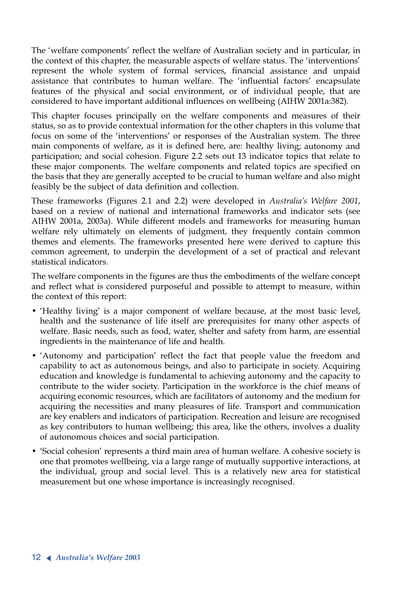The 'welfare components' reflect the welfare of Australian society and in particular, in the context of this chapter, the measurable aspects of welfare status. The 'interventions' represent the whole system of formal services, financial assistance and unpaid assistance that contributes to human welfare. The 'influential factors' encapsulate features of the physical and social environment, or of individual people, that are considered to have important additional influences on wellbeing (AIHW 2001a:382).

This chapter focuses principally on the welfare components and measures of their status, so as to provide contextual information for the other chapters in this volume that focus on some of the 'interventions' or responses of the Australian system. The three main components of welfare, as it is defined here, are: healthy living; autonomy and participation; and social cohesion. Figure 2.2 sets out 13 indicator topics that relate to these major components. The welfare components and related topics are specified on the basis that they are generally accepted to be crucial to human welfare and also might feasibly be the subject of data definition and collection.

These frameworks (Figures 2.1 and 2.2) were developed in *Australia's Welfare 2001*, based on a review of national and international frameworks and indicator sets (see AIHW 2001a, 2003a). While different models and frameworks for measuring human welfare rely ultimately on elements of judgment, they frequently contain common themes and elements. The frameworks presented here were derived to capture this common agreement, to underpin the development of a set of practical and relevant statistical indicators.

The welfare components in the figures are thus the embodiments of the welfare concept and reflect what is considered purposeful and possible to attempt to measure, within the context of this report:

- 'Healthy living' is a major component of welfare because, at the most basic level, health and the sustenance of life itself are prerequisites for many other aspects of welfare. Basic needs, such as food, water, shelter and safety from harm, are essential ingredients in the maintenance of life and health.
- 'Autonomy and participation' reflect the fact that people value the freedom and capability to act as autonomous beings, and also to participate in society. Acquiring education and knowledge is fundamental to achieving autonomy and the capacity to contribute to the wider society. Participation in the workforce is the chief means of acquiring economic resources, which are facilitators of autonomy and the medium for acquiring the necessities and many pleasures of life. Transport and communication are key enablers and indicators of participation. Recreation and leisure are recognised as key contributors to human wellbeing; this area, like the others, involves a duality of autonomous choices and social participation.
- 'Social cohesion' represents a third main area of human welfare. A cohesive society is one that promotes wellbeing, via a large range of mutually supportive interactions, at the individual, group and social level. This is a relatively new area for statistical measurement but one whose importance is increasingly recognised.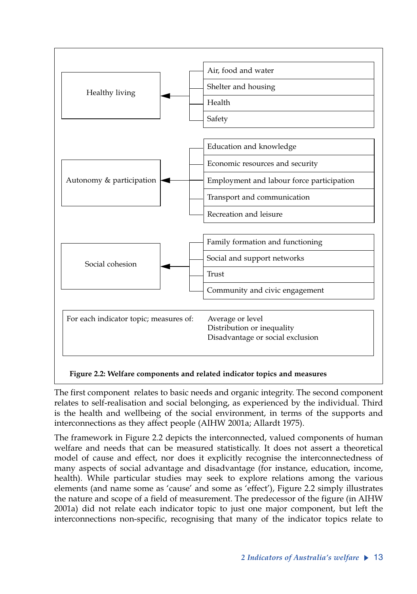

The first component relates to basic needs and organic integrity. The second component relates to self-realisation and social belonging, as experienced by the individual. Third is the health and wellbeing of the social environment, in terms of the supports and interconnections as they affect people (AIHW 2001a; Allardt 1975).

The framework in Figure 2.2 depicts the interconnected, valued components of human welfare and needs that can be measured statistically. It does not assert a theoretical model of cause and effect, nor does it explicitly recognise the interconnectedness of many aspects of social advantage and disadvantage (for instance, education, income, health). While particular studies may seek to explore relations among the various elements (and name some as 'cause' and some as 'effect'), Figure 2.2 simply illustrates the nature and scope of a field of measurement. The predecessor of the figure (in AIHW 2001a) did not relate each indicator topic to just one major component, but left the interconnections non-specific, recognising that many of the indicator topics relate to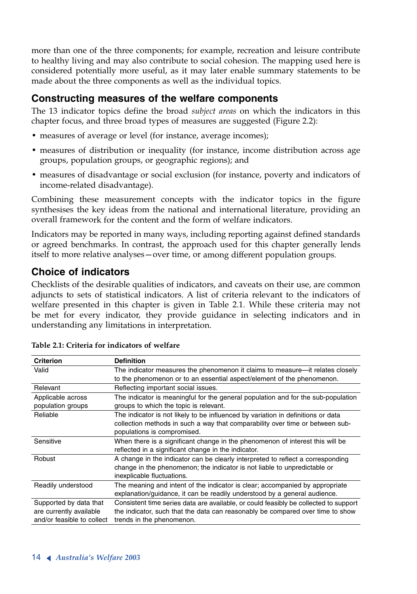more than one of the three components; for example, recreation and leisure contribute to healthy living and may also contribute to social cohesion. The mapping used here is considered potentially more useful, as it may later enable summary statements to be made about the three components as well as the individual topics.

## **Constructing measures of the welfare components**

The 13 indicator topics define the broad *subject areas* on which the indicators in this chapter focus, and three broad types of measures are suggested (Figure 2.2):

- measures of average or level (for instance, average incomes);
- measures of distribution or inequality (for instance, income distribution across age groups, population groups, or geographic regions); and
- measures of disadvantage or social exclusion (for instance, poverty and indicators of income-related disadvantage).

Combining these measurement concepts with the indicator topics in the figure synthesises the key ideas from the national and international literature, providing an overall framework for the content and the form of welfare indicators.

Indicators may be reported in many ways, including reporting against defined standards or agreed benchmarks. In contrast, the approach used for this chapter generally lends itself to more relative analyses—over time, or among different population groups.

# **Choice of indicators**

Checklists of the desirable qualities of indicators, and caveats on their use, are common adjuncts to sets of statistical indicators. A list of criteria relevant to the indicators of welfare presented in this chapter is given in Table 2.1. While these criteria may not be met for every indicator, they provide guidance in selecting indicators and in understanding any limitations in interpretation.

| <b>Criterion</b>           | <b>Definition</b>                                                                    |
|----------------------------|--------------------------------------------------------------------------------------|
| Valid                      | The indicator measures the phenomenon it claims to measure—it relates closely        |
|                            | to the phenomenon or to an essential aspect/element of the phenomenon.               |
| Relevant                   | Reflecting important social issues.                                                  |
| Applicable across          | The indicator is meaningful for the general population and for the sub-population    |
| population groups          | groups to which the topic is relevant.                                               |
| Reliable                   | The indicator is not likely to be influenced by variation in definitions or data     |
|                            | collection methods in such a way that comparability over time or between sub-        |
|                            | populations is compromised.                                                          |
| Sensitive                  | When there is a significant change in the phenomenon of interest this will be        |
|                            | reflected in a significant change in the indicator.                                  |
| Robust                     | A change in the indicator can be clearly interpreted to reflect a corresponding      |
|                            | change in the phenomenon; the indicator is not liable to unpredictable or            |
|                            | inexplicable fluctuations.                                                           |
| Readily understood         | The meaning and intent of the indicator is clear; accompanied by appropriate         |
|                            | explanation/guidance, it can be readily understood by a general audience.            |
| Supported by data that     | Consistent time series data are available, or could feasibly be collected to support |
| are currently available    | the indicator, such that the data can reasonably be compared over time to show       |
| and/or feasible to collect | trends in the phenomenon.                                                            |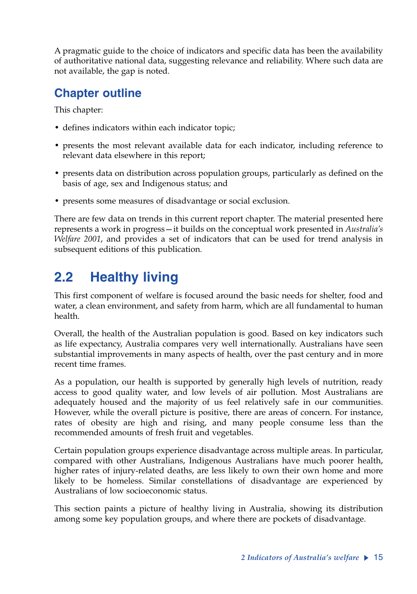A pragmatic guide to the choice of indicators and specific data has been the availability of authoritative national data, suggesting relevance and reliability. Where such data are not available, the gap is noted.

# **Chapter outline**

This chapter:

- defines indicators within each indicator topic;
- presents the most relevant available data for each indicator, including reference to relevant data elsewhere in this report;
- presents data on distribution across population groups, particularly as defined on the basis of age, sex and Indigenous status; and
- presents some measures of disadvantage or social exclusion.

There are few data on trends in this current report chapter. The material presented here represents a work in progress—it builds on the conceptual work presented in *Australia's Welfare 2001*, and provides a set of indicators that can be used for trend analysis in subsequent editions of this publication*.*

# **2.2 Healthy living**

This first component of welfare is focused around the basic needs for shelter, food and water, a clean environment, and safety from harm, which are all fundamental to human health.

Overall, the health of the Australian population is good. Based on key indicators such as life expectancy, Australia compares very well internationally. Australians have seen substantial improvements in many aspects of health, over the past century and in more recent time frames.

As a population, our health is supported by generally high levels of nutrition, ready access to good quality water, and low levels of air pollution. Most Australians are adequately housed and the majority of us feel relatively safe in our communities. However, while the overall picture is positive, there are areas of concern. For instance, rates of obesity are high and rising, and many people consume less than the recommended amounts of fresh fruit and vegetables.

Certain population groups experience disadvantage across multiple areas. In particular, compared with other Australians, Indigenous Australians have much poorer health, higher rates of injury-related deaths, are less likely to own their own home and more likely to be homeless. Similar constellations of disadvantage are experienced by Australians of low socioeconomic status.

This section paints a picture of healthy living in Australia, showing its distribution among some key population groups, and where there are pockets of disadvantage.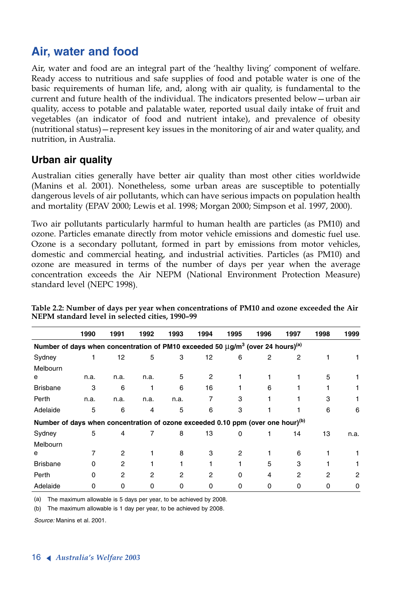# **Air, water and food**

Air, water and food are an integral part of the 'healthy living' component of welfare. Ready access to nutritious and safe supplies of food and potable water is one of the basic requirements of human life, and, along with air quality, is fundamental to the current and future health of the individual. The indicators presented below—urban air quality, access to potable and palatable water, reported usual daily intake of fruit and vegetables (an indicator of food and nutrient intake), and prevalence of obesity (nutritional status)—represent key issues in the monitoring of air and water quality, and nutrition, in Australia.

# **Urban air quality**

Australian cities generally have better air quality than most other cities worldwide (Manins et al. 2001). Nonetheless, some urban areas are susceptible to potentially dangerous levels of air pollutants, which can have serious impacts on population health and mortality (EPAV 2000; Lewis et al. 1998; Morgan 2000; Simpson et al. 1997, 2000).

Two air pollutants particularly harmful to human health are particles (as PM10) and ozone. Particles emanate directly from motor vehicle emissions and domestic fuel use. Ozone is a secondary pollutant, formed in part by emissions from motor vehicles, domestic and commercial heating, and industrial activities. Particles (as PM10) and ozone are measured in terms of the number of days per year when the average concentration exceeds the Air NEPM (National Environment Protection Measure) standard level (NEPC 1998).

|                                                                                                             | 1990     | 1991           | 1992           | 1993 | 1994           | 1995     | 1996 | 1997           | 1998 | 1999 |
|-------------------------------------------------------------------------------------------------------------|----------|----------------|----------------|------|----------------|----------|------|----------------|------|------|
| Number of days when concentration of PM10 exceeded 50 $\mu$ g/m <sup>3</sup> (over 24 hours) <sup>(a)</sup> |          |                |                |      |                |          |      |                |      |      |
| Sydney                                                                                                      |          | 12             | 5              | 3    | 12             | 6        | 2    | $\overline{c}$ |      |      |
| Melbourn                                                                                                    |          |                |                |      |                |          |      |                |      |      |
| е                                                                                                           | n.a.     | n.a.           | n.a.           | 5    | $\overline{2}$ |          |      |                | 5    |      |
| <b>Brisbane</b>                                                                                             | 3        | 6              |                | 6    | 16             |          | 6    |                |      |      |
| Perth                                                                                                       | n.a.     | n.a.           | n.a.           | n.a. | 7              | 3        |      |                | 3    |      |
| Adelaide                                                                                                    | 5        | 6              | 4              | 5    | 6              | 3        |      |                | 6    | 6    |
| Number of days when concentration of ozone exceeded 0.10 ppm (over one hour) <sup>(b)</sup>                 |          |                |                |      |                |          |      |                |      |      |
| Sydney                                                                                                      | 5        | 4              | 7              | 8    | 13             | $\Omega$ |      | 14             | 13   | n.a. |
| Melbourn                                                                                                    |          |                |                |      |                |          |      |                |      |      |
| e                                                                                                           |          | $\overline{2}$ |                | 8    | 3              | 2        |      | 6              |      |      |
| <b>Brisbane</b>                                                                                             | $\Omega$ | 2              |                |      |                |          | 5    | 3              |      | 1    |
| Perth                                                                                                       | 0        | $\overline{2}$ | $\overline{2}$ | 2    | 2              | $\Omega$ | 4    | 2              | 2    | 2    |
| Adelaide                                                                                                    | 0        | 0              | 0              | 0    | 0              | 0        | 0    | 0              | 0    | 0    |

**Table 2.2: Number of days per year when concentrations of PM10 and ozone exceeded the Air NEPM standard level in selected cities, 1990–99**

(a) The maximum allowable is 5 days per year, to be achieved by 2008.

(b) The maximum allowable is 1 day per year, to be achieved by 2008.

*Source:* Manins et al. 2001.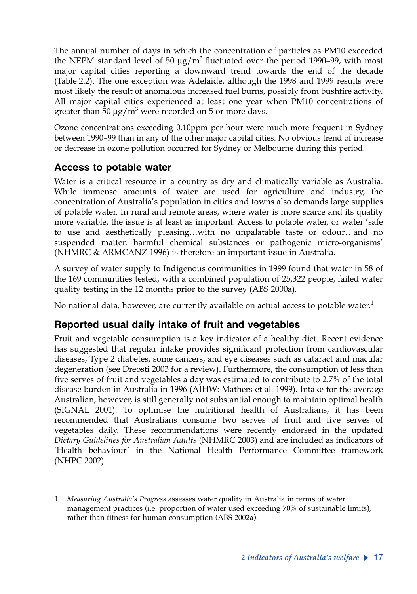The annual number of days in which the concentration of particles as PM10 exceeded the NEPM standard level of 50  $\mu$ g/m<sup>3</sup> fluctuated over the period 1990–99, with most major capital cities reporting a downward trend towards the end of the decade (Table 2.2). The one exception was Adelaide, although the 1998 and 1999 results were most likely the result of anomalous increased fuel burns, possibly from bushfire activity. All major capital cities experienced at least one year when PM10 concentrations of greater than  $\rm{50\,\mu g/m^3}$  were recorded on 5 or more days.

Ozone concentrations exceeding 0.10ppm per hour were much more frequent in Sydney between 1990–99 than in any of the other major capital cities. No obvious trend of increase or decrease in ozone pollution occurred for Sydney or Melbourne during this period.

# **Access to potable water**

Water is a critical resource in a country as dry and climatically variable as Australia. While immense amounts of water are used for agriculture and industry, the concentration of Australia's population in cities and towns also demands large supplies of potable water. In rural and remote areas, where water is more scarce and its quality more variable, the issue is at least as important. Access to potable water, or water 'safe to use and aesthetically pleasing…with no unpalatable taste or odour…and no suspended matter, harmful chemical substances or pathogenic micro-organisms' (NHMRC & ARMCANZ 1996) is therefore an important issue in Australia.

A survey of water supply to Indigenous communities in 1999 found that water in 58 of the 169 communities tested, with a combined population of 25,322 people, failed water quality testing in the 12 months prior to the survey (ABS 2000a).

No national data, however, are currently available on actual access to potable water.<sup>1</sup>

# **Reported usual daily intake of fruit and vegetables**

Fruit and vegetable consumption is a key indicator of a healthy diet. Recent evidence has suggested that regular intake provides significant protection from cardiovascular diseases, Type 2 diabetes, some cancers, and eye diseases such as cataract and macular degeneration (see Dreosti 2003 for a review). Furthermore, the consumption of less than five serves of fruit and vegetables a day was estimated to contribute to 2.7% of the total disease burden in Australia in 1996 (AIHW: Mathers et al. 1999). Intake for the average Australian, however, is still generally not substantial enough to maintain optimal health (SIGNAL 2001). To optimise the nutritional health of Australians, it has been recommended that Australians consume two serves of fruit and five serves of vegetables daily. These recommendations were recently endorsed in the updated *Dietary Guidelines for Australian Adults* (NHMRC 2003) and are included as indicators of 'Health behaviour' in the National Health Performance Committee framework (NHPC 2002).

<sup>1</sup> *Measuring Australia's Progress* assesses water quality in Australia in terms of water management practices (i.e. proportion of water used exceeding 70% of sustainable limits), rather than fitness for human consumption (ABS 2002a).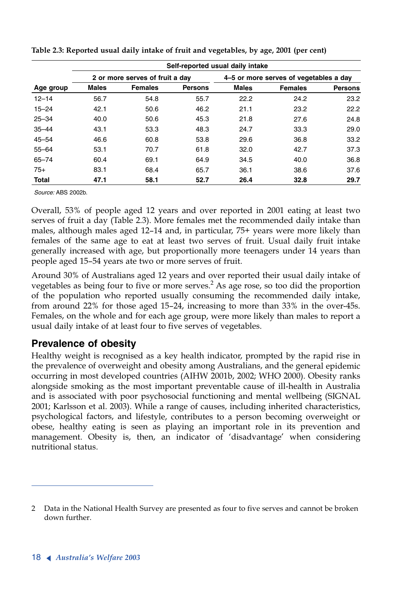|              | Self-reported usual daily intake |                                 |                |                                        |                |                |  |  |  |
|--------------|----------------------------------|---------------------------------|----------------|----------------------------------------|----------------|----------------|--|--|--|
|              |                                  | 2 or more serves of fruit a day |                | 4–5 or more serves of vegetables a day |                |                |  |  |  |
| Age group    | <b>Males</b>                     | <b>Females</b>                  | <b>Persons</b> | <b>Males</b>                           | <b>Females</b> | <b>Persons</b> |  |  |  |
| $12 - 14$    | 56.7                             | 54.8                            | 55.7           | 22.2                                   | 24.2           | 23.2           |  |  |  |
| $15 - 24$    | 42.1                             | 50.6                            | 46.2           | 21.1                                   | 23.2           | 22.2           |  |  |  |
| $25 - 34$    | 40.0                             | 50.6                            | 45.3           | 21.8                                   | 27.6           | 24.8           |  |  |  |
| $35 - 44$    | 43.1                             | 53.3                            | 48.3           | 24.7                                   | 33.3           | 29.0           |  |  |  |
| $45 - 54$    | 46.6                             | 60.8                            | 53.8           | 29.6                                   | 36.8           | 33.2           |  |  |  |
| $55 - 64$    | 53.1                             | 70.7                            | 61.8           | 32.0                                   | 42.7           | 37.3           |  |  |  |
| $65 - 74$    | 60.4                             | 69.1                            | 64.9           | 34.5                                   | 40.0           | 36.8           |  |  |  |
| $75+$        | 83.1                             | 68.4                            | 65.7           | 36.1                                   | 38.6           | 37.6           |  |  |  |
| <b>Total</b> | 47.1                             | 58.1                            | 52.7           | 26.4                                   | 32.8           | 29.7           |  |  |  |

**Table 2.3: Reported usual daily intake of fruit and vegetables, by age, 2001 (per cent)**

*Source:* ABS 2002b.

Overall, 53% of people aged 12 years and over reported in 2001 eating at least two serves of fruit a day (Table 2.3). More females met the recommended daily intake than males, although males aged 12–14 and, in particular, 75+ years were more likely than females of the same age to eat at least two serves of fruit. Usual daily fruit intake generally increased with age, but proportionally more teenagers under 14 years than people aged 15–54 years ate two or more serves of fruit.

Around 30% of Australians aged 12 years and over reported their usual daily intake of vegetables as being four to five or more serves.<sup>2</sup> As age rose, so too did the proportion of the population who reported usually consuming the recommended daily intake, from around 22% for those aged 15–24, increasing to more than 33% in the over-45s. Females, on the whole and for each age group, were more likely than males to report a usual daily intake of at least four to five serves of vegetables.

## **Prevalence of obesity**

Healthy weight is recognised as a key health indicator, prompted by the rapid rise in the prevalence of overweight and obesity among Australians, and the general epidemic occurring in most developed countries (AIHW 2001b, 2002; WHO 2000). Obesity ranks alongside smoking as the most important preventable cause of ill-health in Australia and is associated with poor psychosocial functioning and mental wellbeing (SIGNAL 2001; Karlsson et al. 2003). While a range of causes, including inherited characteristics, psychological factors, and lifestyle, contributes to a person becoming overweight or obese, healthy eating is seen as playing an important role in its prevention and management. Obesity is, then, an indicator of 'disadvantage' when considering nutritional status.

<sup>2</sup> Data in the National Health Survey are presented as four to five serves and cannot be broken down further.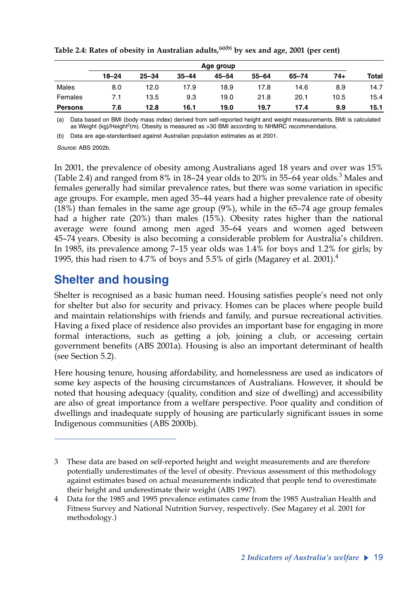|                | Age group |           |           |       |           |       |      |       |
|----------------|-----------|-----------|-----------|-------|-----------|-------|------|-------|
|                | $18 - 24$ | $25 - 34$ | $35 - 44$ | 45–54 | $55 - 64$ | 65-74 | 74+  | Total |
| Males          | 8.0       | 12.0      | 17.9      | 18.9  | 17.8      | 14.6  | 8.9  | 14.7  |
| Females        | 7.1       | 13.5      | 9.3       | 19.0  | 21.8      | 20.1  | 10.5 | 15.4  |
| <b>Persons</b> | 7.6       | 12.8      | 16.1      | 19.0  | 19.7      | 17.4  | 9.9  | 15.1  |

Table 2.4: Rates of obesity in Australian adults,<sup>(a)(b)</sup> by sex and age, 2001 (per cent)

(a) Data based on BMI (body mass index) derived from self-reported height and weight measurements. BMI is calculated as Weight (kg)/Height<sup>2</sup>(m). Obesity is measured as >30 BMI according to NHMRC recommendations.

(b) Data are age-standardised against Australian population estimates as at 2001.

*Source:* ABS 2002b.

In 2001, the prevalence of obesity among Australians aged 18 years and over was 15% (Table 2.4) and ranged from  $8\%$  in 18–24 year olds to 20% in 55–64 year olds. $^3$  Males and females generally had similar prevalence rates, but there was some variation in specific age groups. For example, men aged 35–44 years had a higher prevalence rate of obesity (18%) than females in the same age group (9%), while in the 65–74 age group females had a higher rate (20%) than males (15%). Obesity rates higher than the national average were found among men aged 35–64 years and women aged between 45–74 years. Obesity is also becoming a considerable problem for Australia's children. In 1985, its prevalence among 7–15 year olds was 1.4% for boys and 1.2% for girls; by 1995, this had risen to 4.7% of boys and 5.5% of girls (Magarey et al. 2001).<sup>4</sup>

# **Shelter and housing**

Shelter is recognised as a basic human need. Housing satisfies people's need not only for shelter but also for security and privacy. Homes can be places where people build and maintain relationships with friends and family, and pursue recreational activities. Having a fixed place of residence also provides an important base for engaging in more formal interactions, such as getting a job, joining a club, or accessing certain government benefits (ABS 2001a). Housing is also an important determinant of health (see Section 5.2).

Here housing tenure, housing affordability, and homelessness are used as indicators of some key aspects of the housing circumstances of Australians. However, it should be noted that housing adequacy (quality, condition and size of dwelling) and accessibility are also of great importance from a welfare perspective. Poor quality and condition of dwellings and inadequate supply of housing are particularly significant issues in some Indigenous communities (ABS 2000b).

<sup>3</sup> These data are based on self-reported height and weight measurements and are therefore potentially underestimates of the level of obesity. Previous assessment of this methodology against estimates based on actual measurements indicated that people tend to overestimate their height and underestimate their weight (ABS 1997).

<sup>4</sup> Data for the 1985 and 1995 prevalence estimates came from the 1985 Australian Health and Fitness Survey and National Nutrition Survey, respectively. (See Magarey et al. 2001 for methodology.)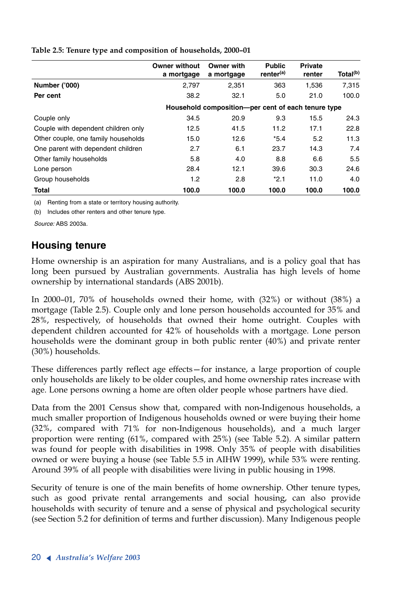|                                     | <b>Owner without</b><br>a mortgage | Owner with<br>a mortgage                            | <b>Public</b><br>renter <sup>(a)</sup> | <b>Private</b><br>renter | Total <sup>(b)</sup> |
|-------------------------------------|------------------------------------|-----------------------------------------------------|----------------------------------------|--------------------------|----------------------|
| <b>Number ('000)</b>                | 2.797                              | 2,351                                               | 363                                    | 1,536                    | 7,315                |
| Per cent                            | 38.2                               | 32.1                                                | 5.0                                    | 21.0                     | 100.0                |
|                                     |                                    | Household composition--per cent of each tenure type |                                        |                          |                      |
| Couple only                         | 34.5                               | 20.9                                                | 9.3                                    | 15.5                     | 24.3                 |
| Couple with dependent children only | 12.5                               | 41.5                                                | 11.2                                   | 17.1                     | 22.8                 |
| Other couple, one family households | 15.0                               | 12.6                                                | $*5.4$                                 | 5.2                      | 11.3                 |
| One parent with dependent children  | 2.7                                | 6.1                                                 | 23.7                                   | 14.3                     | 7.4                  |
| Other family households             | 5.8                                | 4.0                                                 | 8.8                                    | 6.6                      | 5.5                  |
| Lone person                         | 28.4                               | 12.1                                                | 39.6                                   | 30.3                     | 24.6                 |
| Group households                    | 1.2                                | 2.8                                                 | $*2.1$                                 | 11.0                     | 4.0                  |
| <b>Total</b>                        | 100.0                              | 100.0                                               | 100.0                                  | 100.0                    | 100.0                |

**Table 2.5: Tenure type and composition of households, 2000–01**

(a) Renting from a state or territory housing authority.

(b) Includes other renters and other tenure type.

*Source:* ABS 2003a.

## **Housing tenure**

Home ownership is an aspiration for many Australians, and is a policy goal that has long been pursued by Australian governments. Australia has high levels of home ownership by international standards (ABS 2001b).

In 2000–01, 70% of households owned their home, with (32%) or without (38%) a mortgage (Table 2.5). Couple only and lone person households accounted for 35% and 28%, respectively, of households that owned their home outright. Couples with dependent children accounted for 42% of households with a mortgage. Lone person households were the dominant group in both public renter (40%) and private renter (30%) households.

These differences partly reflect age effects—for instance, a large proportion of couple only households are likely to be older couples, and home ownership rates increase with age. Lone persons owning a home are often older people whose partners have died.

Data from the 2001 Census show that, compared with non-Indigenous households, a much smaller proportion of Indigenous households owned or were buying their home (32%, compared with 71% for non-Indigenous households), and a much larger proportion were renting (61%, compared with 25%) (see Table 5.2). A similar pattern was found for people with disabilities in 1998. Only 35% of people with disabilities owned or were buying a house (see Table 5.5 in AIHW 1999), while 53% were renting. Around 39% of all people with disabilities were living in public housing in 1998.

Security of tenure is one of the main benefits of home ownership. Other tenure types, such as good private rental arrangements and social housing, can also provide households with security of tenure and a sense of physical and psychological security (see Section 5.2 for definition of terms and further discussion). Many Indigenous people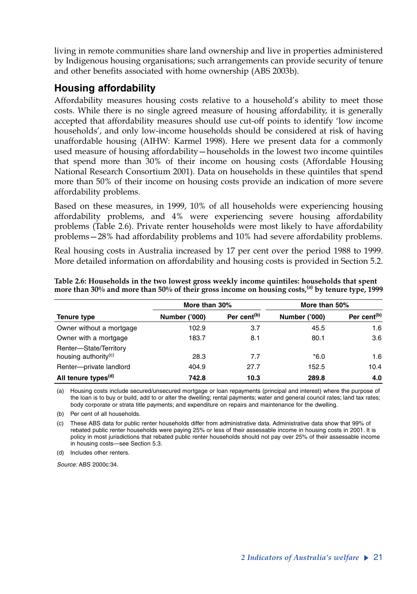living in remote communities share land ownership and live in properties administered by Indigenous housing organisations; such arrangements can provide security of tenure and other benefits associated with home ownership (ABS 2003b).

### **Housing affordability**

Affordability measures housing costs relative to a household's ability to meet those costs. While there is no single agreed measure of housing affordability, it is generally accepted that affordability measures should use cut-off points to identify 'low income households', and only low-income households should be considered at risk of having unaffordable housing (AIHW: Karmel 1998). Here we present data for a commonly used measure of housing affordability—households in the lowest two income quintiles that spend more than 30% of their income on housing costs (Affordable Housing National Research Consortium 2001). Data on households in these quintiles that spend more than 50% of their income on housing costs provide an indication of more severe affordability problems.

Based on these measures, in 1999, 10% of all households were experiencing housing affordability problems, and 4% were experiencing severe housing affordability problems (Table 2.6). Private renter households were most likely to have affordability problems—28% had affordability problems and 10% had severe affordability problems.

Real housing costs in Australia increased by 17 per cent over the period 1988 to 1999. More detailed information on affordability and housing costs is provided in Section 5.2.

|                                                            | More than 30%        |                         | More than 50%        |                         |
|------------------------------------------------------------|----------------------|-------------------------|----------------------|-------------------------|
| Tenure type                                                | <b>Number ('000)</b> | Per cent <sup>(b)</sup> | <b>Number ('000)</b> | Per cent <sup>(b)</sup> |
| Owner without a mortgage                                   | 102.9                | 3.7                     | 45.5                 | 1.6                     |
| Owner with a mortgage                                      | 183.7                | 8.1                     | 80.1                 | 3.6                     |
| Renter-State/Territory<br>housing authority <sup>(c)</sup> | 28.3                 | 7.7                     | $*6.0$               | 1.6                     |
| Renter-private landlord                                    | 404.9                | 27.7                    | 152.5                | 10.4                    |
| All tenure types <sup>(d)</sup>                            | 742.8                | 10.3                    | 289.8                | 4.0                     |

**Table 2.6: Households in the two lowest gross weekly income quintiles: households that spent more than 30% and more than 50% of their gross income on housing costs,(a) by tenure type, 1999**

(a) Housing costs include secured/unsecured mortgage or loan repayments (principal and interest) where the purpose of the loan is to buy or build, add to or alter the dwelling; rental payments; water and general council rates; land tax rates; body corporate or strata title payments; and expenditure on repairs and maintenance for the dwelling.

(b) Per cent of all households.

(c) These ABS data for public renter households differ from administrative data. Administrative data show that 99% of rebated public renter households were paying 25% or less of their assessable income in housing costs in 2001. It is policy in most jurisdictions that rebated public renter households should not pay over 25% of their assessable income in housing costs—see Section 5.3.

(d) Includes other renters.

*Source:* ABS 2000c:34.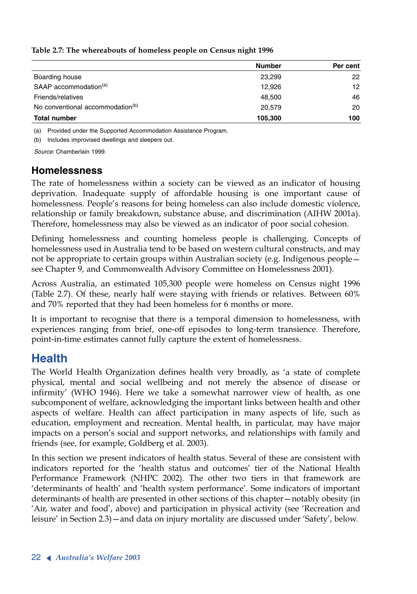|                                              | <b>Number</b> | Per cent |
|----------------------------------------------|---------------|----------|
| Boarding house                               | 23.299        | 22       |
| SAAP accommodation <sup>(a)</sup>            | 12.926        | 12       |
| Friends/relatives                            | 48,500        | 46       |
| No conventional accommodation <sup>(b)</sup> | 20.579        | 20       |
| <b>Total number</b>                          | 105,300       | 100      |

**Table 2.7: The whereabouts of homeless people on Census night 1996**

(a) Provided under the Supported Accommodation Assistance Program.

(b) Includes improvised dwellings and sleepers out.

*Source:* Chamberlain 1999.

#### **Homelessness**

The rate of homelessness within a society can be viewed as an indicator of housing deprivation. Inadequate supply of affordable housing is one important cause of homelessness. People's reasons for being homeless can also include domestic violence, relationship or family breakdown, substance abuse, and discrimination (AIHW 2001a). Therefore, homelessness may also be viewed as an indicator of poor social cohesion.

Defining homelessness and counting homeless people is challenging. Concepts of homelessness used in Australia tend to be based on western cultural constructs, and may not be appropriate to certain groups within Australian society (e.g. Indigenous people see Chapter 9, and Commonwealth Advisory Committee on Homelessness 2001).

Across Australia, an estimated 105,300 people were homeless on Census night 1996 (Table 2.7). Of these, nearly half were staying with friends or relatives. Between 60% and 70% reported that they had been homeless for 6 months or more.

It is important to recognise that there is a temporal dimension to homelessness, with experiences ranging from brief, one-off episodes to long-term transience. Therefore, point-in-time estimates cannot fully capture the extent of homelessness.

# **Health**

The World Health Organization defines health very broadly, as 'a state of complete physical, mental and social wellbeing and not merely the absence of disease or infirmity' (WHO 1946). Here we take a somewhat narrower view of health, as one subcomponent of welfare, acknowledging the important links between health and other aspects of welfare. Health can affect participation in many aspects of life, such as education, employment and recreation. Mental health, in particular, may have major impacts on a person's social and support networks, and relationships with family and friends (see, for example, Goldberg et al. 2003).

In this section we present indicators of health status. Several of these are consistent with indicators reported for the 'health status and outcomes' tier of the National Health Performance Framework (NHPC 2002). The other two tiers in that framework are 'determinants of health' and 'health system performance'. Some indicators of important determinants of health are presented in other sections of this chapter—notably obesity (in 'Air, water and food', above) and participation in physical activity (see 'Recreation and leisure' in Section 2.3)—and data on injury mortality are discussed under 'Safety', below.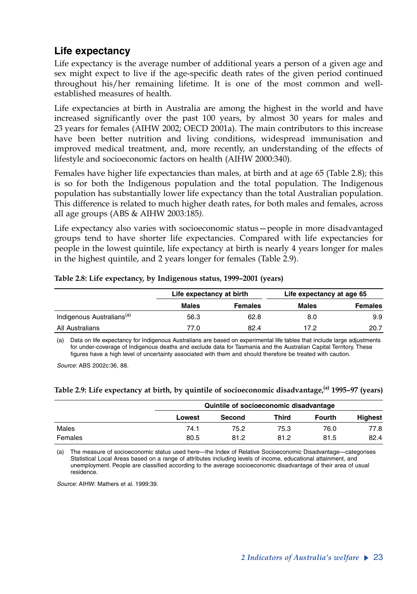# **Life expectancy**

Life expectancy is the average number of additional years a person of a given age and sex might expect to live if the age-specific death rates of the given period continued throughout his/her remaining lifetime. It is one of the most common and wellestablished measures of health.

Life expectancies at birth in Australia are among the highest in the world and have increased significantly over the past 100 years, by almost 30 years for males and 23 years for females (AIHW 2002; OECD 2001a). The main contributors to this increase have been better nutrition and living conditions, widespread immunisation and improved medical treatment, and, more recently, an understanding of the effects of lifestyle and socioeconomic factors on health (AIHW 2000:340).

Females have higher life expectancies than males, at birth and at age 65 (Table 2.8); this is so for both the Indigenous population and the total population. The Indigenous population has substantially lower life expectancy than the total Australian population. This difference is related to much higher death rates, for both males and females, across all age groups (ABS & AIHW 2003:185*).*

Life expectancy also varies with socioeconomic status—people in more disadvantaged groups tend to have shorter life expectancies. Compared with life expectancies for people in the lowest quintile, life expectancy at birth is nearly 4 years longer for males in the highest quintile, and 2 years longer for females (Table 2.9).

|                                       | Life expectancy at birth |                | Life expectancy at age 65 |                |  |
|---------------------------------------|--------------------------|----------------|---------------------------|----------------|--|
|                                       | <b>Males</b>             | <b>Females</b> | Males                     | <b>Females</b> |  |
| Indigenous Australians <sup>(a)</sup> | 56.3                     | 62.8           | 8.0                       | 9.9            |  |
| All Australians                       | 77.0                     | 82.4           | 17.2                      | 20.7           |  |

#### **Table 2.8: Life expectancy, by Indigenous status, 1999–2001 (years)**

(a) Data on life expectancy for Indigenous Australians are based on experimental life tables that include large adjustments for under-coverage of Indigenous deaths and exclude data for Tasmania and the Australian Capital Territory. These figures have a high level of uncertainty associated with them and should therefore be treated with caution.

*Source:* ABS 2002c:36, 88.

#### **Table 2.9: Life expectancy at birth, by quintile of socioeconomic disadvantage,(a) 1995–97 (years)**

|         |        | Quintile of socioeconomic disadvantage |       |               |         |  |  |
|---------|--------|----------------------------------------|-------|---------------|---------|--|--|
|         | Lowest | Second                                 | Third | <b>Fourth</b> | Highest |  |  |
| Males   | 74.1   | 75.2                                   | 75.3  | 76.0          | 77.8    |  |  |
| Females | 80.5   | 81.2                                   | 81.2  | 81.5          | 82.4    |  |  |

(a) The measure of socioeconomic status used here—the Index of Relative Socioeconomic Disadvantage—categorises Statistical Local Areas based on a range of attributes including levels of income, educational attainment, and unemployment. People are classified according to the average socioeconomic disadvantage of their area of usual residence.

*Source:* AIHW: Mathers et al. 1999:39.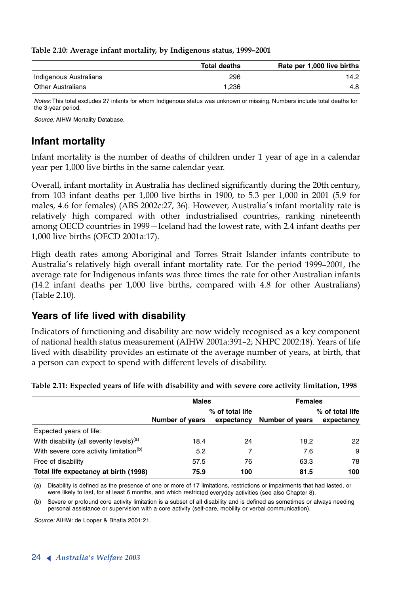|                          | <b>Total deaths</b> | Rate per 1,000 live births |
|--------------------------|---------------------|----------------------------|
| Indigenous Australians   | 296                 | 14.2                       |
| <b>Other Australians</b> | 1.236               | 4.8                        |

**Table 2.10: Average infant mortality, by Indigenous status, 1999–2001**

*Notes:* This total excludes 27 infants for whom Indigenous status was unknown or missing. Numbers include total deaths for the 3-year period.

*Source:* AIHW Mortality Database.

# **Infant mortality**

Infant mortality is the number of deaths of children under 1 year of age in a calendar year per 1,000 live births in the same calendar year.

Overall, infant mortality in Australia has declined significantly during the 20th century, from 103 infant deaths per 1,000 live births in 1900, to 5.3 per 1,000 in 2001 (5.9 for males, 4.6 for females) (ABS 2002c:27, 36). However, Australia's infant mortality rate is relatively high compared with other industrialised countries, ranking nineteenth among OECD countries in 1999—Iceland had the lowest rate, with 2.4 infant deaths per 1,000 live births (OECD 2001a:17).

High death rates among Aboriginal and Torres Strait Islander infants contribute to Australia's relatively high overall infant mortality rate. For the period 1999–2001, the average rate for Indigenous infants was three times the rate for other Australian infants (14.2 infant deaths per 1,000 live births, compared with 4.8 for other Australians) (Table 2.10).

## **Years of life lived with disability**

Indicators of functioning and disability are now widely recognised as a key component of national health status measurement (AIHW 2001a:391–2; NHPC 2002:18). Years of life lived with disability provides an estimate of the average number of years, at birth, that a person can expect to spend with different levels of disability.

|                                                      | <b>Males</b>    |                               | <b>Females</b>  |                               |  |
|------------------------------------------------------|-----------------|-------------------------------|-----------------|-------------------------------|--|
|                                                      | Number of years | % of total life<br>expectancy | Number of years | % of total life<br>expectancy |  |
| Expected years of life:                              |                 |                               |                 |                               |  |
| With disability (all severity levels) <sup>(a)</sup> | 18.4            | 24                            | 18.2            | 22                            |  |
| With severe core activity limitation <sup>(b)</sup>  | 5.2             | 7                             | 7.6             | 9                             |  |
| Free of disability                                   | 57.5            | 76                            | 63.3            | 78                            |  |
| Total life expectancy at birth (1998)                | 75.9            | 100                           | 81.5            | 100                           |  |

**Table 2.11: Expected years of life with disability and with severe core activity limitation, 1998**

(a) Disability is defined as the presence of one or more of 17 limitations, restrictions or impairments that had lasted, or were likely to last, for at least 6 months, and which restricted everyday activities (see also Chapter 8).

(b) Severe or profound core activity limitation is a subset of all disability and is defined as sometimes or always needing personal assistance or supervision with a core activity (self-care, mobility or verbal communication).

*Source:* AIHW: de Looper & Bhatia 2001:21.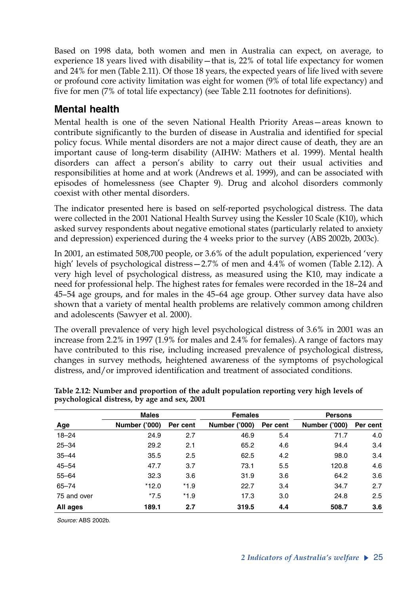Based on 1998 data, both women and men in Australia can expect, on average, to experience 18 years lived with disability—that is, 22% of total life expectancy for women and 24% for men (Table 2.11). Of those 18 years, the expected years of life lived with severe or profound core activity limitation was eight for women (9% of total life expectancy) and five for men (7% of total life expectancy) (see Table 2.11 footnotes for definitions).

# **Mental health**

Mental health is one of the seven National Health Priority Areas—areas known to contribute significantly to the burden of disease in Australia and identified for special policy focus. While mental disorders are not a major direct cause of death, they are an important cause of long-term disability (AIHW: Mathers et al. 1999). Mental health disorders can affect a person's ability to carry out their usual activities and responsibilities at home and at work (Andrews et al. 1999), and can be associated with episodes of homelessness (see Chapter 9). Drug and alcohol disorders commonly coexist with other mental disorders.

The indicator presented here is based on self-reported psychological distress. The data were collected in the 2001 National Health Survey using the Kessler 10 Scale (K10), which asked survey respondents about negative emotional states (particularly related to anxiety and depression) experienced during the 4 weeks prior to the survey (ABS 2002b, 2003c).

In 2001, an estimated 508,700 people, or 3.6% of the adult population, experienced 'very high' levels of psychological distress – 2.7% of men and 4.4% of women (Table 2.12). A very high level of psychological distress, as measured using the K10, may indicate a need for professional help. The highest rates for females were recorded in the 18–24 and 45–54 age groups, and for males in the 45–64 age group. Other survey data have also shown that a variety of mental health problems are relatively common among children and adolescents (Sawyer et al. 2000).

The overall prevalence of very high level psychological distress of 3.6% in 2001 was an increase from 2.2% in 1997 (1.9% for males and 2.4% for females). A range of factors may have contributed to this rise, including increased prevalence of psychological distress, changes in survey methods, heightened awareness of the symptoms of psychological distress, and/or improved identification and treatment of associated conditions.

|             | <b>Males</b>         |          | <b>Females</b> |          | <b>Persons</b>       |          |  |
|-------------|----------------------|----------|----------------|----------|----------------------|----------|--|
| Age         | <b>Number ('000)</b> | Per cent | Number ('000)  | Per cent | <b>Number ('000)</b> | Per cent |  |
| $18 - 24$   | 24.9                 | 2.7      | 46.9           | 5.4      | 71.7                 | 4.0      |  |
| $25 - 34$   | 29.2                 | 2.1      | 65.2           | 4.6      | 94.4                 | 3.4      |  |
| $35 - 44$   | 35.5                 | 2.5      | 62.5           | 4.2      | 98.0                 | 3.4      |  |
| $45 - 54$   | 47.7                 | 3.7      | 73.1           | 5.5      | 120.8                | 4.6      |  |
| $55 - 64$   | 32.3                 | 3.6      | 31.9           | 3.6      | 64.2                 | 3.6      |  |
| $65 - 74$   | $*12.0$              | $*1.9$   | 22.7           | 3.4      | 34.7                 | 2.7      |  |
| 75 and over | $*7.5$               | $*1.9$   | 17.3           | 3.0      | 24.8                 | 2.5      |  |
| All ages    | 189.1                | 2.7      | 319.5          | 4.4      | 508.7                | 3.6      |  |

**Table 2.12: Number and proportion of the adult population reporting very high levels of psychological distress, by age and sex, 2001**

*Source:* ABS 2002b.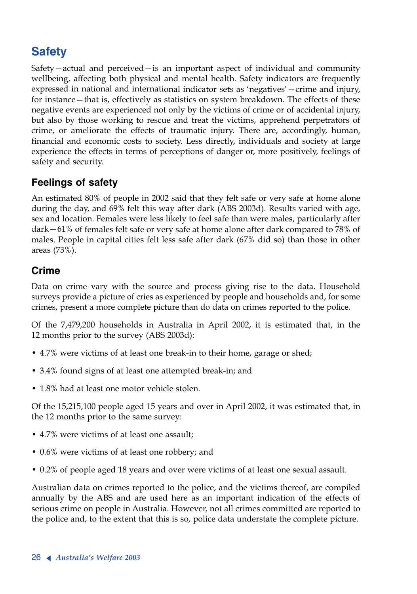# **Safety**

Safety—actual and perceived—is an important aspect of individual and community wellbeing, affecting both physical and mental health. Safety indicators are frequently expressed in national and international indicator sets as 'negatives'—crime and injury, for instance—that is, effectively as statistics on system breakdown. The effects of these negative events are experienced not only by the victims of crime or of accidental injury, but also by those working to rescue and treat the victims, apprehend perpetrators of crime, or ameliorate the effects of traumatic injury. There are, accordingly, human, financial and economic costs to society. Less directly, individuals and society at large experience the effects in terms of perceptions of danger or, more positively, feelings of safety and security.

# **Feelings of safety**

An estimated 80% of people in 2002 said that they felt safe or very safe at home alone during the day, and 69% felt this way after dark (ABS 2003d). Results varied with age, sex and location. Females were less likely to feel safe than were males, particularly after dark—61% of females felt safe or very safe at home alone after dark compared to 78% of males. People in capital cities felt less safe after dark (67% did so) than those in other areas (73%).

# **Crime**

Data on crime vary with the source and process giving rise to the data. Household surveys provide a picture of cries as experienced by people and households and, for some crimes, present a more complete picture than do data on crimes reported to the police.

Of the 7,479,200 households in Australia in April 2002, it is estimated that, in the 12 months prior to the survey (ABS 2003d):

- 4.7% were victims of at least one break-in to their home, garage or shed;
- 3.4% found signs of at least one attempted break-in; and
- 1.8% had at least one motor vehicle stolen.

Of the 15,215,100 people aged 15 years and over in April 2002, it was estimated that, in the 12 months prior to the same survey:

- 4.7% were victims of at least one assault;
- 0.6% were victims of at least one robbery; and
- 0.2% of people aged 18 years and over were victims of at least one sexual assault.

Australian data on crimes reported to the police, and the victims thereof, are compiled annually by the ABS and are used here as an important indication of the effects of serious crime on people in Australia. However, not all crimes committed are reported to the police and, to the extent that this is so, police data understate the complete picture.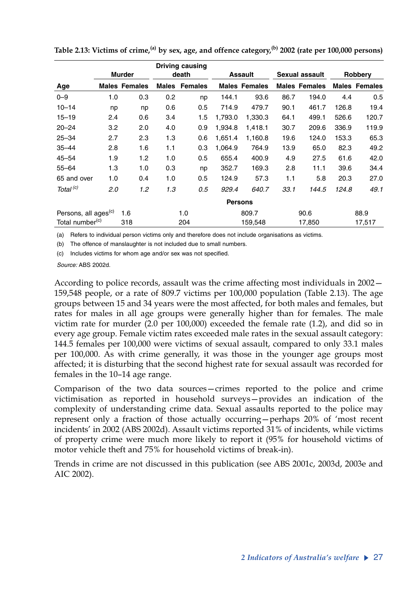|                                  |     |                      |              | <b>Driving causing</b> |         |                      |      |                      |       |                      |
|----------------------------------|-----|----------------------|--------------|------------------------|---------|----------------------|------|----------------------|-------|----------------------|
|                                  |     | <b>Murder</b>        |              | death                  |         | Assault              |      | Sexual assault       |       | Robbery              |
| Age                              |     | <b>Males Females</b> | <b>Males</b> | <b>Females</b>         |         | <b>Males Females</b> |      | <b>Males Females</b> |       | <b>Males Females</b> |
| $0 - 9$                          | 1.0 | 0.3                  | 0.2          | np                     | 144.1   | 93.6                 | 86.7 | 194.0                | 4.4   | 0.5                  |
| $10 - 14$                        | np  | np                   | 0.6          | 0.5                    | 714.9   | 479.7                | 90.1 | 461.7                | 126.8 | 19.4                 |
| $15 - 19$                        | 2.4 | 0.6                  | 3.4          | 1.5                    | 1,793.0 | 1,330.3              | 64.1 | 499.1                | 526.6 | 120.7                |
| $20 - 24$                        | 3.2 | 2.0                  | 4.0          | 0.9                    | 1,934.8 | 1,418.1              | 30.7 | 209.6                | 336.9 | 119.9                |
| $25 - 34$                        | 2.7 | 2.3                  | 1.3          | 0.6                    | 1,651.4 | 1,160.8              | 19.6 | 124.0                | 153.3 | 65.3                 |
| $35 - 44$                        | 2.8 | 1.6                  | 1.1          | 0.3                    | 1,064.9 | 764.9                | 13.9 | 65.0                 | 82.3  | 49.2                 |
| $45 - 54$                        | 1.9 | 1.2                  | 1.0          | 0.5                    | 655.4   | 400.9                | 4.9  | 27.5                 | 61.6  | 42.0                 |
| $55 - 64$                        | 1.3 | 1.0                  | 0.3          | np                     | 352.7   | 169.3                | 2.8  | 11.1                 | 39.6  | 34.4                 |
| 65 and over                      | 1.0 | 0.4                  | 1.0          | 0.5                    | 124.9   | 57.3                 | 1.1  | 5.8                  | 20.3  | 27.0                 |
| Total <sup>(c)</sup>             | 2.0 | 1.2                  | 1.3          | 0.5                    | 929.4   | 640.7                | 33.1 | 144.5                | 124.8 | 49.1                 |
|                                  |     |                      |              |                        |         | <b>Persons</b>       |      |                      |       |                      |
| Persons, all ages <sup>(c)</sup> |     | 1.6                  |              | 1.0                    |         | 809.7                |      | 90.6                 |       | 88.9                 |
| Total number <sup>(c)</sup>      |     | 318                  |              | 204                    |         | 159,548              |      | 17,850               |       | 17,517               |

**Table 2.13: Victims of crime,(a) by sex, age, and offence category,(b) 2002 (rate per 100,000 persons)**

(a) Refers to individual person victims only and therefore does not include organisations as victims.

(b) The offence of manslaughter is not included due to small numbers.

(c) Includes victims for whom age and/or sex was not specified.

*Source:* ABS 2002d.

According to police records, assault was the crime affecting most individuals in 2002— 159,548 people, or a rate of 809.7 victims per 100,000 population (Table 2.13). The age groups between 15 and 34 years were the most affected, for both males and females, but rates for males in all age groups were generally higher than for females. The male victim rate for murder (2.0 per 100,000) exceeded the female rate (1.2), and did so in every age group. Female victim rates exceeded male rates in the sexual assault category: 144.5 females per 100,000 were victims of sexual assault, compared to only 33.1 males per 100,000. As with crime generally, it was those in the younger age groups most affected; it is disturbing that the second highest rate for sexual assault was recorded for females in the 10–14 age range.

Comparison of the two data sources—crimes reported to the police and crime victimisation as reported in household surveys—provides an indication of the complexity of understanding crime data. Sexual assaults reported to the police may represent only a fraction of those actually occurring—perhaps 20% of 'most recent incidents' in 2002 (ABS 2002d). Assault victims reported 31% of incidents, while victims of property crime were much more likely to report it (95% for household victims of motor vehicle theft and 75% for household victims of break-in).

Trends in crime are not discussed in this publication (see ABS 2001c, 2003d, 2003e and AIC 2002).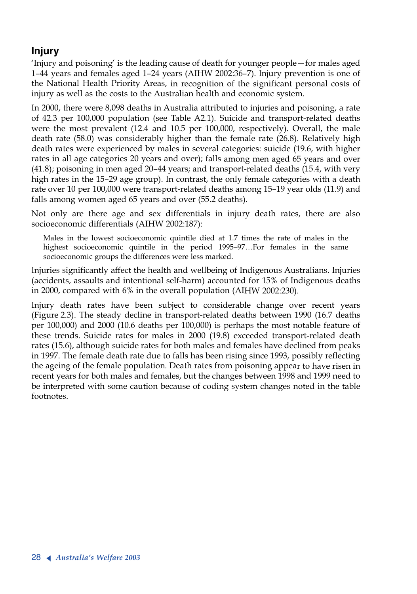# **Injury**

'Injury and poisoning' is the leading cause of death for younger people—for males aged 1–44 years and females aged 1–24 years (AIHW 2002:36–7). Injury prevention is one of the National Health Priority Areas, in recognition of the significant personal costs of injury as well as the costs to the Australian health and economic system.

In 2000, there were 8,098 deaths in Australia attributed to injuries and poisoning, a rate of 42.3 per 100,000 population (see Table A2.1). Suicide and transport-related deaths were the most prevalent (12.4 and 10.5 per 100,000, respectively). Overall, the male death rate (58.0) was considerably higher than the female rate (26.8). Relatively high death rates were experienced by males in several categories: suicide (19.6, with higher rates in all age categories 20 years and over); falls among men aged 65 years and over (41.8); poisoning in men aged 20–44 years; and transport-related deaths (15.4, with very high rates in the 15–29 age group). In contrast, the only female categories with a death rate over 10 per 100,000 were transport-related deaths among 15–19 year olds (11.9) and falls among women aged 65 years and over (55.2 deaths).

Not only are there age and sex differentials in injury death rates, there are also socioeconomic differentials (AIHW 2002:187):

Males in the lowest socioeconomic quintile died at 1.7 times the rate of males in the highest socioeconomic quintile in the period 1995–97…For females in the same socioeconomic groups the differences were less marked.

Injuries significantly affect the health and wellbeing of Indigenous Australians. Injuries (accidents, assaults and intentional self-harm) accounted for 15% of Indigenous deaths in 2000, compared with 6% in the overall population (AIHW 2002:230).

Injury death rates have been subject to considerable change over recent years (Figure 2.3). The steady decline in transport-related deaths between 1990 (16.7 deaths per 100,000) and 2000 (10.6 deaths per 100,000) is perhaps the most notable feature of these trends. Suicide rates for males in 2000 (19.8) exceeded transport-related death rates (15.6), although suicide rates for both males and females have declined from peaks in 1997. The female death rate due to falls has been rising since 1993, possibly reflecting the ageing of the female population*.* Death rates from poisoning appear to have risen in recent years for both males and females, but the changes between 1998 and 1999 need to be interpreted with some caution because of coding system changes noted in the table footnotes.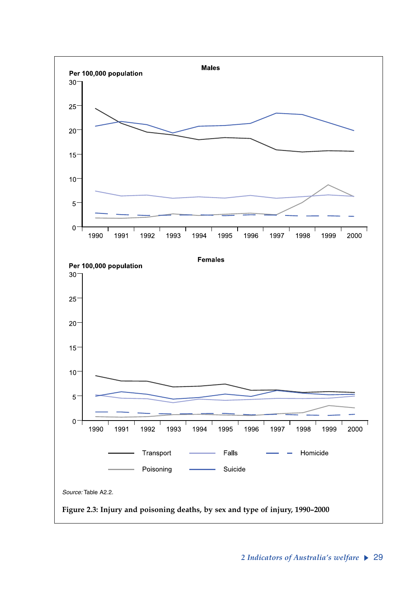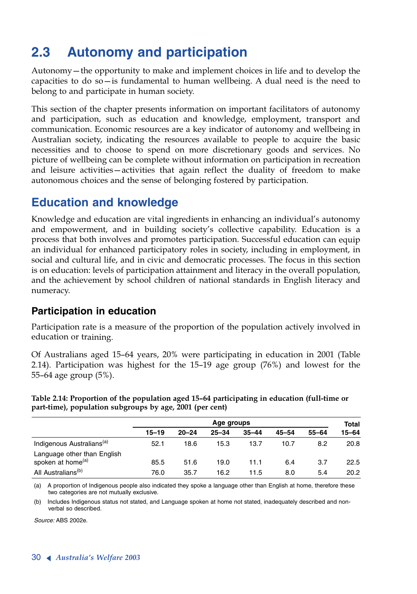# **2.3 Autonomy and participation**

Autonomy—the opportunity to make and implement choices in life and to develop the capacities to do so—is fundamental to human wellbeing. A dual need is the need to belong to and participate in human society.

This section of the chapter presents information on important facilitators of autonomy and participation, such as education and knowledge, employment, transport and communication. Economic resources are a key indicator of autonomy and wellbeing in Australian society, indicating the resources available to people to acquire the basic necessities and to choose to spend on more discretionary goods and services. No picture of wellbeing can be complete without information on participation in recreation and leisure activities—activities that again reflect the duality of freedom to make autonomous choices and the sense of belonging fostered by participation.

# **Education and knowledge**

Knowledge and education are vital ingredients in enhancing an individual's autonomy and empowerment, and in building society's collective capability. Education is a process that both involves and promotes participation. Successful education can equip an individual for enhanced participatory roles in society, including in employment, in social and cultural life, and in civic and democratic processes. The focus in this section is on education: levels of participation attainment and literacy in the overall population, and the achievement by school children of national standards in English literacy and numeracy.

# **Participation in education**

Participation rate is a measure of the proportion of the population actively involved in education or training.

Of Australians aged 15–64 years, 20% were participating in education in 2001 (Table 2.14). Participation was highest for the 15–19 age group (76%) and lowest for the 55–64 age group (5%).

**Table 2.14: Proportion of the population aged 15–64 participating in education (full-time or part-time), population subgroups by age, 2001 (per cent)**

|                                       | Age groups |           |           |           |           | Total     |           |  |
|---------------------------------------|------------|-----------|-----------|-----------|-----------|-----------|-----------|--|
|                                       | $15 - 19$  | $20 - 24$ | $25 - 34$ | $35 - 44$ | $45 - 54$ | $55 - 64$ | $15 - 64$ |  |
| Indigenous Australians <sup>(a)</sup> | 52.1       | 18.6      | 15.3      | 13.7      | 10.7      | 8.2       | 20.8      |  |
| Language other than English           |            |           |           |           |           |           |           |  |
| spoken at home <sup>(a)</sup>         | 85.5       | 51.6      | 19.0      | 11.1      | 6.4       | 3.7       | 22.5      |  |
| All Australians <sup>(b)</sup>        | 76.0       | 35.7      | 16.2      | 11.5      | 8.0       | 5.4       | 20.2      |  |

(a) A proportion of Indigenous people also indicated they spoke a language other than English at home, therefore these two categories are not mutually exclusive.

(b) Includes Indigenous status not stated, and Language spoken at home not stated, inadequately described and nonverbal so described.

*Source:* ABS 2002e.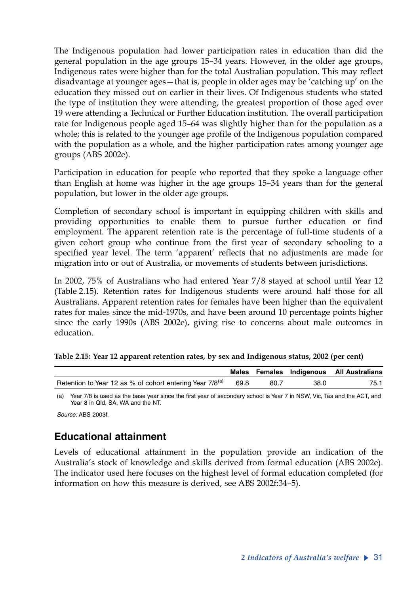The Indigenous population had lower participation rates in education than did the general population in the age groups 15–34 years. However, in the older age groups, Indigenous rates were higher than for the total Australian population. This may reflect disadvantage at younger ages—that is, people in older ages may be 'catching up' on the education they missed out on earlier in their lives. Of Indigenous students who stated the type of institution they were attending, the greatest proportion of those aged over 19 were attending a Technical or Further Education institution. The overall participation rate for Indigenous people aged 15–64 was slightly higher than for the population as a whole; this is related to the younger age profile of the Indigenous population compared with the population as a whole, and the higher participation rates among younger age groups (ABS 2002e).

Participation in education for people who reported that they spoke a language other than English at home was higher in the age groups 15–34 years than for the general population, but lower in the older age groups.

Completion of secondary school is important in equipping children with skills and providing opportunities to enable them to pursue further education or find employment. The apparent retention rate is the percentage of full-time students of a given cohort group who continue from the first year of secondary schooling to a specified year level. The term 'apparent' reflects that no adjustments are made for migration into or out of Australia, or movements of students between jurisdictions.

In 2002, 75% of Australians who had entered Year 7/8 stayed at school until Year 12 (Table 2.15). Retention rates for Indigenous students were around half those for all Australians. Apparent retention rates for females have been higher than the equivalent rates for males since the mid-1970s, and have been around 10 percentage points higher since the early 1990s (ABS 2002e), giving rise to concerns about male outcomes in education.

|                                                                      |      |      |      | Males Females Indigenous All Australians |
|----------------------------------------------------------------------|------|------|------|------------------------------------------|
| Retention to Year 12 as % of cohort entering Year 7/8 <sup>(a)</sup> | 69.8 | 80.7 | 38.0 | 75.1                                     |

| Table 2.15: Year 12 apparent retention rates, by sex and Indigenous status, 2002 (per cent) |  |  |
|---------------------------------------------------------------------------------------------|--|--|
|---------------------------------------------------------------------------------------------|--|--|

(a) Year 7/8 is used as the base year since the first year of secondary school is Year 7 in NSW, Vic, Tas and the ACT, and Year 8 in Qld, SA, WA and the NT.

*Source:* ABS 2003f.

# **Educational attainment**

Levels of educational attainment in the population provide an indication of the Australia's stock of knowledge and skills derived from formal education (ABS 2002e). The indicator used here focuses on the highest level of formal education completed (for information on how this measure is derived, see ABS 2002f:34–5).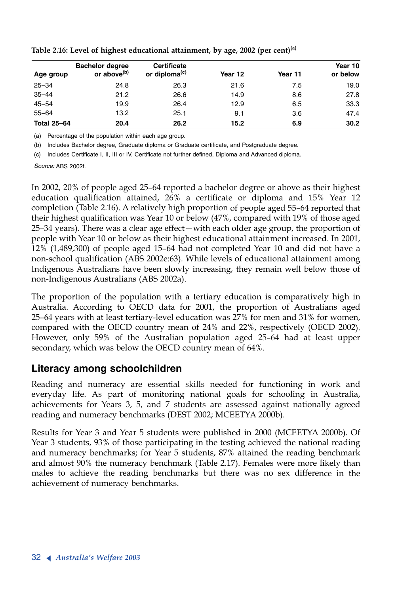|                    | <b>Bachelor degree</b>  | <b>Certificate</b>        |         |         | Year 10  |
|--------------------|-------------------------|---------------------------|---------|---------|----------|
| Age group          | or above <sup>(b)</sup> | or diploma <sup>(c)</sup> | Year 12 | Year 11 | or below |
| $25 - 34$          | 24.8                    | 26.3                      | 21.6    | 7.5     | 19.0     |
| $35 - 44$          | 21.2                    | 26.6                      | 14.9    | 8.6     | 27.8     |
| $45 - 54$          | 19.9                    | 26.4                      | 12.9    | 6.5     | 33.3     |
| $55 - 64$          | 13.2                    | 25.1                      | 9.1     | 3.6     | 47.4     |
| <b>Total 25-64</b> | 20.4                    | 26.2                      | 15.2    | 6.9     | 30.2     |

**Table 2.16: Level of highest educational attainment, by age, 2002 (per cent)(a)**

(a) Percentage of the population within each age group.

(b) Includes Bachelor degree, Graduate diploma or Graduate certificate, and Postgraduate degree.

(c) Includes Certificate I, II, III or IV, Certificate not further defined, Diploma and Advanced diploma.

*Source:* ABS 2002f.

In 2002, 20% of people aged 25–64 reported a bachelor degree or above as their highest education qualification attained, 26% a certificate or diploma and 15% Year 12 completion (Table 2.16). A relatively high proportion of people aged 55–64 reported that their highest qualification was Year 10 or below (47%, compared with 19% of those aged 25–34 years). There was a clear age effect—with each older age group, the proportion of people with Year 10 or below as their highest educational attainment increased. In 2001, 12% (1,489,300) of people aged 15–64 had not completed Year 10 and did not have a non-school qualification (ABS 2002e:63). While levels of educational attainment among Indigenous Australians have been slowly increasing, they remain well below those of non-Indigenous Australians (ABS 2002a).

The proportion of the population with a tertiary education is comparatively high in Australia. According to OECD data for 2001, the proportion of Australians aged 25–64 years with at least tertiary-level education was 27% for men and 31% for women, compared with the OECD country mean of 24% and 22%, respectively (OECD 2002). However, only 59% of the Australian population aged 25–64 had at least upper secondary, which was below the OECD country mean of 64%.

## **Literacy among schoolchildren**

Reading and numeracy are essential skills needed for functioning in work and everyday life. As part of monitoring national goals for schooling in Australia, achievements for Years 3, 5, and 7 students are assessed against nationally agreed reading and numeracy benchmarks (DEST 2002; MCEETYA 2000b).

Results for Year 3 and Year 5 students were published in 2000 (MCEETYA 2000b). Of Year 3 students, 93% of those participating in the testing achieved the national reading and numeracy benchmarks; for Year 5 students, 87% attained the reading benchmark and almost 90% the numeracy benchmark (Table 2.17). Females were more likely than males to achieve the reading benchmarks but there was no sex difference in the achievement of numeracy benchmarks.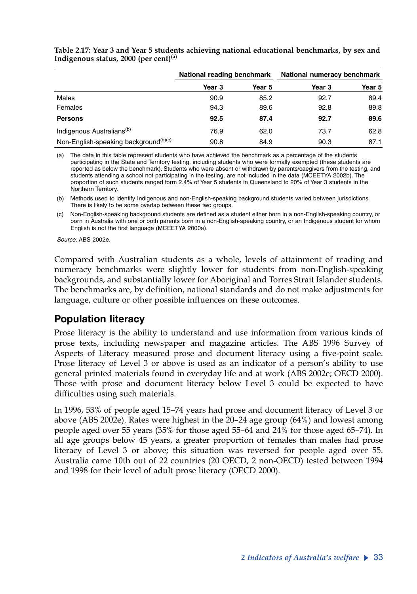|                                                   | National reading benchmark |        | National numeracy benchmark |        |  |
|---------------------------------------------------|----------------------------|--------|-----------------------------|--------|--|
|                                                   | Year 3                     | Year 5 | Year 3                      | Year 5 |  |
| Males                                             | 90.9                       | 85.2   | 92.7                        | 89.4   |  |
| Females                                           | 94.3                       | 89.6   | 92.8                        | 89.8   |  |
| <b>Persons</b>                                    | 92.5                       | 87.4   | 92.7                        | 89.6   |  |
| Indigenous Australians <sup>(b)</sup>             | 76.9                       | 62.0   | 73.7                        | 62.8   |  |
| Non-English-speaking background <sup>(b)(c)</sup> | 90.8                       | 84.9   | 90.3                        | 87.1   |  |

**Table 2.17: Year 3 and Year 5 students achieving national educational benchmarks, by sex and Indigenous status, 2000 (per cent)(a)**

(a) The data in this table represent students who have achieved the benchmark as a percentage of the students participating in the State and Territory testing, including students who were formally exempted (these students are reported as below the benchmark). Students who were absent or withdrawn by parents/caegivers from the testing, and students attending a school not participating in the testing, are not included in the data (MCEETYA 2002b). The proportion of such students ranged form 2.4% of Year 5 students in Queensland to 20% of Year 3 students in the Northern Territory.

(b) Methods used to identify Indigenous and non-English-speaking background students varied between jurisdictions. There is likely to be some overlap between these two groups.

(c) Non-English-speaking background students are defined as a student either born in a non-English-speaking country, or born in Australia with one or both parents born in a non-English-speaking country, or an Indigenous student for whom English is not the first language (MCEETYA 2000a).

*Source:* ABS 2002e.

Compared with Australian students as a whole, levels of attainment of reading and numeracy benchmarks were slightly lower for students from non-English-speaking backgrounds, and substantially lower for Aboriginal and Torres Strait Islander students. The benchmarks are, by definition, national standards and do not make adjustments for language, culture or other possible influences on these outcomes.

#### **Population literacy**

Prose literacy is the ability to understand and use information from various kinds of prose texts, including newspaper and magazine articles. The ABS 1996 Survey of Aspects of Literacy measured prose and document literacy using a five-point scale. Prose literacy of Level 3 or above is used as an indicator of a person's ability to use general printed materials found in everyday life and at work (ABS 2002e; OECD 2000). Those with prose and document literacy below Level 3 could be expected to have difficulties using such materials.

In 1996, 53% of people aged 15–74 years had prose and document literacy of Level 3 or above (ABS 2002e). Rates were highest in the 20–24 age group (64%) and lowest among people aged over 55 years (35% for those aged 55–64 and 24% for those aged 65–74). In all age groups below 45 years, a greater proportion of females than males had prose literacy of Level 3 or above; this situation was reversed for people aged over 55. Australia came 10th out of 22 countries (20 OECD, 2 non-OECD) tested between 1994 and 1998 for their level of adult prose literacy (OECD 2000).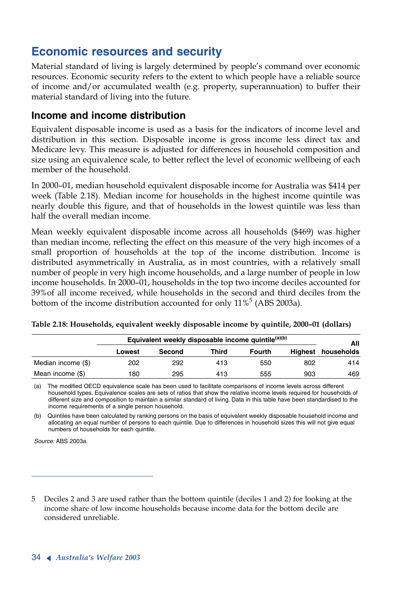# **Economic resources and security**

Material standard of living is largely determined by people's command over economic resources. Economic security refers to the extent to which people have a reliable source of income and/or accumulated wealth (e.g. property, superannuation) to buffer their material standard of living into the future.

#### **Income and income distribution**

Equivalent disposable income is used as a basis for the indicators of income level and distribution in this section. Disposable income is gross income less direct tax and Medicare levy. This measure is adjusted for differences in household composition and size using an equivalence scale, to better reflect the level of economic wellbeing of each member of the household.

In 2000–01, median household equivalent disposable income for Australia was \$414 per week (Table 2.18). Median income for households in the highest income quintile was nearly double this figure, and that of households in the lowest quintile was less than half the overall median income.

Mean weekly equivalent disposable income across all households (\$469) was higher than median income, reflecting the effect on this measure of the very high incomes of a small proportion of households at the top of the income distribution. Income is distributed asymmetrically in Australia, as in most countries, with a relatively small number of people in very high income households, and a large number of people in low income households. In 2000–01, households in the top two income deciles accounted for 39%of all income received, while households in the second and third deciles from the bottom of the income distribution accounted for only  $11\%^5$  (ABS 2003a).

|                    | Equivalent weekly disposable income quintile <sup>(a)(b)</sup> |        |       |        |     |                           |  |
|--------------------|----------------------------------------------------------------|--------|-------|--------|-----|---------------------------|--|
|                    | Lowest                                                         | Second | Third | Fourth |     | All<br>Highest households |  |
| Median income (\$) | 202                                                            | 292    | 413   | 550    | 802 | 414                       |  |
| Mean income (\$)   | 180                                                            | 295    | 413   | 555    | 903 | 469                       |  |

**Table 2.18: Households, equivalent weekly disposable income by quintile, 2000–01 (dollars)**

(a) The modified OECD equivalence scale has been used to facilitate comparisons of income levels across different household types. Equivalence scales are sets of ratios that show the relative income levels required for households of different size and composition to maintain a similar standard of living. Data in this table have been standardised to the income requirements of a single person household.

(b) Quintiles have been calculated by ranking persons on the basis of equivalent weekly disposable household income and allocating an equal number of persons to each quintile. Due to differences in household sizes this will not give equal numbers of households for each quintile.

*Source:* ABS 2003a.

<sup>5</sup> Deciles 2 and 3 are used rather than the bottom quintile (deciles 1 and 2) for looking at the income share of low income households because income data for the bottom decile are considered unreliable.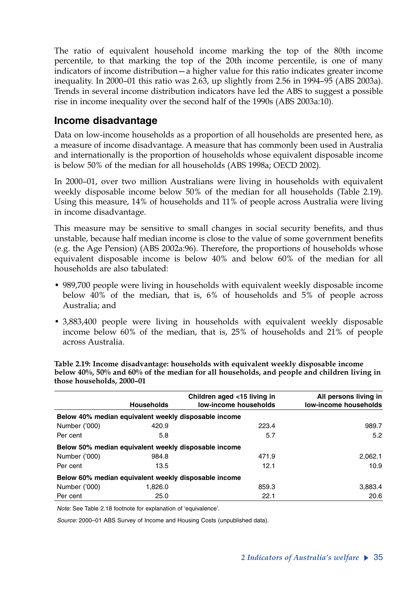The ratio of equivalent household income marking the top of the 80th income percentile, to that marking the top of the 20th income percentile, is one of many indicators of income distribution—a higher value for this ratio indicates greater income inequality. In 2000–01 this ratio was 2.63, up slightly from 2.56 in 1994–95 (ABS 2003a). Trends in several income distribution indicators have led the ABS to suggest a possible rise in income inequality over the second half of the 1990s (ABS 2003a:10).

### **Income disadvantage**

Data on low-income households as a proportion of all households are presented here, as a measure of income disadvantage. A measure that has commonly been used in Australia and internationally is the proportion of households whose equivalent disposable income is below 50% of the median for all households (ABS 1998a; OECD 2002).

In 2000–01, over two million Australians were living in households with equivalent weekly disposable income below 50% of the median for all households (Table 2.19). Using this measure, 14% of households and 11% of people across Australia were living in income disadvantage.

This measure may be sensitive to small changes in social security benefits, and thus unstable, because half median income is close to the value of some government benefits (e.g. the Age Pension) (ABS 2002a:96). Therefore, the proportions of households whose equivalent disposable income is below 40% and below 60% of the median for all households are also tabulated:

- 989,700 people were living in households with equivalent weekly disposable income below 40% of the median, that is, 6% of households and 5% of people across Australia; and
- 3,883,400 people were living in households with equivalent weekly disposable income below 60% of the median, that is, 25% of households and 21% of people across Australia.

|               | <b>Households</b>                                    | Children aged <15 living in<br>low-income households | All persons living in<br>low-income households |
|---------------|------------------------------------------------------|------------------------------------------------------|------------------------------------------------|
|               | Below 40% median equivalent weekly disposable income |                                                      |                                                |
| Number ('000) | 420.9                                                | 223.4                                                | 989.7                                          |
| Per cent      | 5.8                                                  | 5.7                                                  | 5.2                                            |
|               | Below 50% median equivalent weekly disposable income |                                                      |                                                |
| Number ('000) | 984.8                                                | 471.9                                                | 2.062.1                                        |
| Per cent      | 13.5                                                 | 12.1                                                 | 10.9 <sup>°</sup>                              |
|               | Below 60% median equivalent weekly disposable income |                                                      |                                                |
| Number ('000) | 1.826.0                                              | 859.3                                                | 3.883.4                                        |
| Per cent      | 25.0                                                 | 22.1                                                 | 20.6                                           |

**Table 2.19: Income disadvantage: households with equivalent weekly disposable income below 40%, 50% and 60% of the median for all households, and people and children living in those households, 2000–01**

*Note:* See Table 2.18 footnote for explanation of 'equivalence'.

*Source:* 2000–01 ABS Survey of Income and Housing Costs (unpublished data).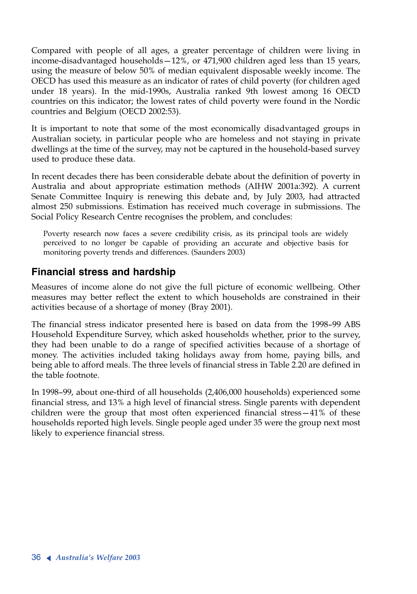Compared with people of all ages, a greater percentage of children were living in income-disadvantaged households—12%, or 471,900 children aged less than 15 years, using the measure of below 50% of median equivalent disposable weekly income. The OECD has used this measure as an indicator of rates of child poverty (for children aged under 18 years). In the mid-1990s, Australia ranked 9th lowest among 16 OECD countries on this indicator; the lowest rates of child poverty were found in the Nordic countries and Belgium (OECD 2002:53).

It is important to note that some of the most economically disadvantaged groups in Australian society, in particular people who are homeless and not staying in private dwellings at the time of the survey, may not be captured in the household-based survey used to produce these data.

In recent decades there has been considerable debate about the definition of poverty in Australia and about appropriate estimation methods (AIHW 2001a:392). A current Senate Committee Inquiry is renewing this debate and, by July 2003, had attracted almost 250 submissions. Estimation has received much coverage in submissions. The Social Policy Research Centre recognises the problem, and concludes:

Poverty research now faces a severe credibility crisis, as its principal tools are widely perceived to no longer be capable of providing an accurate and objective basis for monitoring poverty trends and differences. (Saunders 2003)

#### **Financial stress and hardship**

Measures of income alone do not give the full picture of economic wellbeing. Other measures may better reflect the extent to which households are constrained in their activities because of a shortage of money (Bray 2001).

The financial stress indicator presented here is based on data from the 1998–99 ABS Household Expenditure Survey, which asked households whether, prior to the survey, they had been unable to do a range of specified activities because of a shortage of money. The activities included taking holidays away from home, paying bills, and being able to afford meals. The three levels of financial stress in Table 2.20 are defined in the table footnote.

In 1998–99, about one-third of all households (2,406,000 households) experienced some financial stress, and 13% a high level of financial stress. Single parents with dependent children were the group that most often experienced financial stress—41% of these households reported high levels. Single people aged under 35 were the group next most likely to experience financial stress.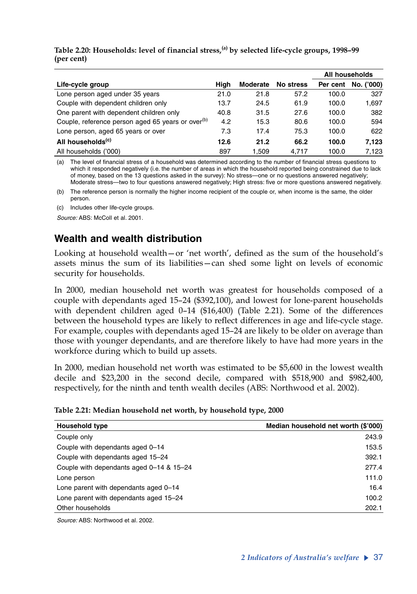#### **Table 2.20: Households: level of financial stress,(a) by selected life-cycle groups, 1998–99 (per cent)**

|                                                               |      |          |           |          | All households |
|---------------------------------------------------------------|------|----------|-----------|----------|----------------|
| Life-cycle group                                              | Hiah | Moderate | No stress | Per cent | No. ('000)     |
| Lone person aged under 35 years                               | 21.0 | 21.8     | 57.2      | 100.0    | 327            |
| Couple with dependent children only                           | 13.7 | 24.5     | 61.9      | 100.0    | 1,697          |
| One parent with dependent children only                       | 40.8 | 31.5     | 27.6      | 100.0    | 382            |
| Couple, reference person aged 65 years or over <sup>(b)</sup> | 4.2  | 15.3     | 80.6      | 100.0    | 594            |
| Lone person, aged 65 years or over                            | 7.3  | 17.4     | 75.3      | 100.0    | 622            |
| All households <sup>(c)</sup>                                 | 12.6 | 21.2     | 66.2      | 100.0    | 7.123          |
| All households ('000)                                         | 897  | 1.509    | 4.717     | 100.0    | 7.123          |

(a) The level of financial stress of a household was determined according to the number of financial stress questions to which it responded negatively (i.e. the number of areas in which the household reported being constrained due to lack of money, based on the 13 questions asked in the survey): No stress—one or no questions answered negatively; Moderate stress—two to four questions answered negatively; High stress: five or more questions answered negatively.

(b) The reference person is normally the higher income recipient of the couple or, when income is the same, the older person.

(c) Includes other life-cycle groups.

*Source:* ABS: McColl et al. 2001.

# **Wealth and wealth distribution**

Looking at household wealth—or 'net worth', defined as the sum of the household's assets minus the sum of its liabilities—can shed some light on levels of economic security for households.

In 2000, median household net worth was greatest for households composed of a couple with dependants aged 15–24 (\$392,100), and lowest for lone-parent households with dependent children aged 0–14 (\$16,400) (Table 2.21). Some of the differences between the household types are likely to reflect differences in age and life-cycle stage. For example, couples with dependants aged 15–24 are likely to be older on average than those with younger dependants, and are therefore likely to have had more years in the workforce during which to build up assets.

In 2000, median household net worth was estimated to be \$5,600 in the lowest wealth decile and \$23,200 in the second decile, compared with \$518,900 and \$982,400, respectively, for the ninth and tenth wealth deciles (ABS: Northwood et al. 2002).

| Table 2.21: Median household net worth, by household type, 2000 |  |  |  |  |
|-----------------------------------------------------------------|--|--|--|--|
|-----------------------------------------------------------------|--|--|--|--|

| <b>Household type</b>                    | Median household net worth (\$'000) |
|------------------------------------------|-------------------------------------|
| Couple only                              | 243.9                               |
| Couple with dependants aged 0-14         | 153.5                               |
| Couple with dependants aged 15-24        | 392.1                               |
| Couple with dependants aged 0-14 & 15-24 | 277.4                               |
| Lone person                              | 111.0                               |
| Lone parent with dependants aged 0-14    | 16.4                                |
| Lone parent with dependants aged 15-24   | 100.2                               |
| Other households                         | 202.1                               |

*Source:* ABS: Northwood et al. 2002.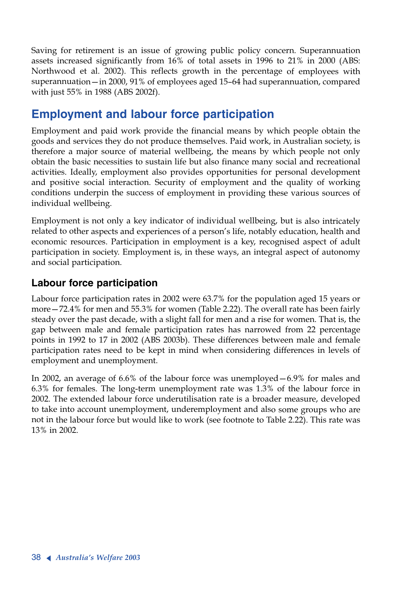Saving for retirement is an issue of growing public policy concern. Superannuation assets increased significantly from 16% of total assets in 1996 to 21% in 2000 (ABS: Northwood et al. 2002). This reflects growth in the percentage of employees with superannuation—in 2000, 91% of employees aged 15–64 had superannuation, compared with just 55% in 1988 (ABS 2002f).

# **Employment and labour force participation**

Employment and paid work provide the financial means by which people obtain the goods and services they do not produce themselves. Paid work, in Australian society, is therefore a major source of material wellbeing, the means by which people not only obtain the basic necessities to sustain life but also finance many social and recreational activities. Ideally, employment also provides opportunities for personal development and positive social interaction. Security of employment and the quality of working conditions underpin the success of employment in providing these various sources of individual wellbeing.

Employment is not only a key indicator of individual wellbeing, but is also intricately related to other aspects and experiences of a person's life, notably education, health and economic resources. Participation in employment is a key, recognised aspect of adult participation in society. Employment is, in these ways, an integral aspect of autonomy and social participation.

# **Labour force participation**

Labour force participation rates in 2002 were 63.7% for the population aged 15 years or more—72.4% for men and 55.3% for women (Table 2.22). The overall rate has been fairly steady over the past decade, with a slight fall for men and a rise for women. That is, the gap between male and female participation rates has narrowed from 22 percentage points in 1992 to 17 in 2002 (ABS 2003b). These differences between male and female participation rates need to be kept in mind when considering differences in levels of employment and unemployment.

In 2002, an average of 6.6% of the labour force was unemployed—6.9% for males and 6.3% for females. The long-term unemployment rate was 1.3% of the labour force in 2002. The extended labour force underutilisation rate is a broader measure, developed to take into account unemployment, underemployment and also some groups who are not in the labour force but would like to work (see footnote to Table 2.22). This rate was 13% in 2002.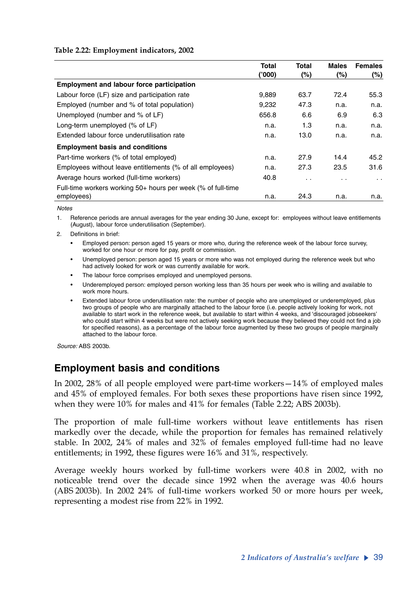#### **Table 2.22: Employment indicators, 2002**

|                                                              | <b>Total</b><br>('000) | <b>Total</b><br>$(\%)$ | <b>Males</b><br>$(\%)$ | <b>Females</b><br>$(\%)$ |
|--------------------------------------------------------------|------------------------|------------------------|------------------------|--------------------------|
| <b>Employment and labour force participation</b>             |                        |                        |                        |                          |
| Labour force (LF) size and participation rate                | 9.889                  | 63.7                   | 72.4                   | 55.3                     |
| Employed (number and % of total population)                  | 9,232                  | 47.3                   | n.a.                   | n.a.                     |
| Unemployed (number and % of LF)                              | 656.8                  | 6.6                    | 6.9                    | 6.3                      |
| Long-term unemployed (% of LF)                               | n.a.                   | 1.3                    | n.a.                   | n.a.                     |
| Extended labour force underutilisation rate                  | n.a.                   | 13.0                   | n.a.                   | n.a.                     |
| <b>Employment basis and conditions</b>                       |                        |                        |                        |                          |
| Part-time workers (% of total employed)                      | n.a.                   | 27.9                   | 14.4                   | 45.2                     |
| Employees without leave entitlements (% of all employees)    | n.a.                   | 27.3                   | 23.5                   | 31.6                     |
| Average hours worked (full-time workers)                     | 40.8                   | $\ddot{\phantom{0}}$   | $\cdot$ .              | $\cdot$ $\cdot$          |
| Full-time workers working 50+ hours per week (% of full-time |                        |                        |                        |                          |
| employees)                                                   | n.a.                   | 24.3                   | n.a.                   | n.a.                     |

*Notes*

1. Reference periods are annual averages for the year ending 30 June, except for: employees without leave entitlements (August), labour force underutilisation (September).

- 2. Definitions in brief:
	- Employed person: person aged 15 years or more who, during the reference week of the labour force survey, worked for one hour or more for pay, profit or commission.
	- Unemployed person: person aged 15 years or more who was not employed during the reference week but who had actively looked for work or was currently available for work.
	- The labour force comprises employed and unemployed persons.
	- Underemployed person: employed person working less than 35 hours per week who is willing and available to work more hours.
	- Extended labour force underutilisation rate: the number of people who are unemployed or underemployed, plus two groups of people who are marginally attached to the labour force (i.e. people actively looking for work, not available to start work in the reference week, but available to start within 4 weeks, and 'discouraged jobseekers' who could start within 4 weeks but were not actively seeking work because they believed they could not find a job for specified reasons), as a percentage of the labour force augmented by these two groups of people marginally attached to the labour force.

*Source:* ABS 2003b.

## **Employment basis and conditions**

In 2002, 28% of all people employed were part-time workers—14% of employed males and 45% of employed females. For both sexes these proportions have risen since 1992, when they were 10% for males and 41% for females (Table 2.22; ABS 2003b).

The proportion of male full-time workers without leave entitlements has risen markedly over the decade, while the proportion for females has remained relatively stable. In 2002, 24% of males and 32% of females employed full-time had no leave entitlements; in 1992, these figures were 16% and 31%, respectively.

Average weekly hours worked by full-time workers were 40.8 in 2002, with no noticeable trend over the decade since 1992 when the average was 40.6 hours (ABS 2003b). In 2002 24% of full-time workers worked 50 or more hours per week, representing a modest rise from 22% in 1992.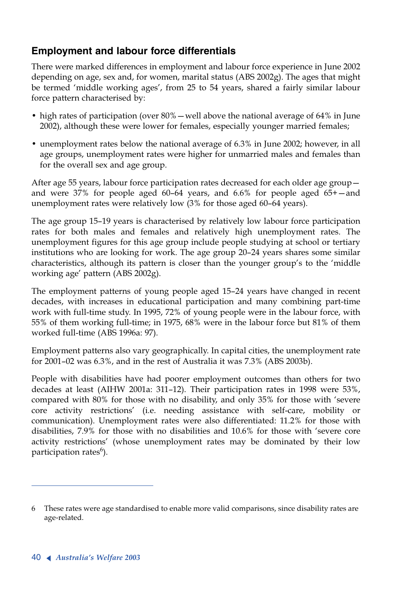# **Employment and labour force differentials**

There were marked differences in employment and labour force experience in June 2002 depending on age, sex and, for women, marital status (ABS 2002g). The ages that might be termed 'middle working ages', from 25 to 54 years, shared a fairly similar labour force pattern characterised by:

- high rates of participation (over 80%—well above the national average of 64% in June 2002), although these were lower for females, especially younger married females;
- unemployment rates below the national average of 6.3% in June 2002; however, in all age groups, unemployment rates were higher for unmarried males and females than for the overall sex and age group.

After age 55 years, labour force participation rates decreased for each older age group and were 37% for people aged 60–64 years, and 6.6% for people aged 65+—and unemployment rates were relatively low (3% for those aged 60–64 years).

The age group 15–19 years is characterised by relatively low labour force participation rates for both males and females and relatively high unemployment rates. The unemployment figures for this age group include people studying at school or tertiary institutions who are looking for work. The age group 20–24 years shares some similar characteristics, although its pattern is closer than the younger group's to the 'middle working age' pattern (ABS 2002g).

The employment patterns of young people aged 15–24 years have changed in recent decades, with increases in educational participation and many combining part-time work with full-time study. In 1995, 72% of young people were in the labour force, with 55% of them working full-time; in 1975, 68% were in the labour force but 81% of them worked full-time (ABS 1996a: 97).

Employment patterns also vary geographically. In capital cities, the unemployment rate for 2001–02 was 6.3%, and in the rest of Australia it was 7.3% (ABS 2003b).

People with disabilities have had poorer employment outcomes than others for two decades at least (AIHW 2001a: 311–12). Their participation rates in 1998 were 53%, compared with 80% for those with no disability, and only 35% for those with 'severe core activity restrictions' (i.e. needing assistance with self-care, mobility or communication). Unemployment rates were also differentiated: 11.2% for those with disabilities, 7.9% for those with no disabilities and 10.6% for those with 'severe core activity restrictions' (whose unemployment rates may be dominated by their low participation rates<sup>6</sup>).

<sup>6</sup> These rates were age standardised to enable more valid comparisons, since disability rates are age-related.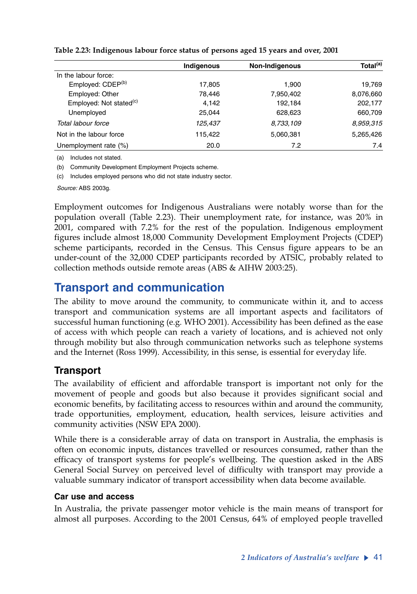|                                     | Indigenous | <b>Non-Indigenous</b> | Total <sup>(a)</sup> |
|-------------------------------------|------------|-----------------------|----------------------|
| In the labour force:                |            |                       |                      |
| Employed: CDEP <sup>(b)</sup>       | 17,805     | 1.900                 | 19,769               |
| Employed: Other                     | 78,446     | 7,950,402             | 8,076,660            |
| Employed: Not stated <sup>(c)</sup> | 4,142      | 192,184               | 202,177              |
| Unemployed                          | 25,044     | 628.623               | 660,709              |
| Total labour force                  | 125.437    | 8,733,109             | 8,959,315            |
| Not in the labour force             | 115,422    | 5,060,381             | 5,265,426            |
| Unemployment rate (%)               | 20.0       | 7.2                   | 7.4                  |

**Table 2.23: Indigenous labour force status of persons aged 15 years and over, 2001**

(a) Includes not stated.

(b) Community Development Employment Projects scheme.

(c) Includes employed persons who did not state industry sector.

*Source:* ABS 2003g.

Employment outcomes for Indigenous Australians were notably worse than for the population overall (Table 2.23). Their unemployment rate, for instance, was 20% in 2001, compared with 7.2% for the rest of the population. Indigenous employment figures include almost 18,000 Community Development Employment Projects (CDEP) scheme participants, recorded in the Census. This Census figure appears to be an under-count of the 32,000 CDEP participants recorded by ATSIC, probably related to collection methods outside remote areas (ABS & AIHW 2003:25).

# **Transport and communication**

The ability to move around the community, to communicate within it, and to access transport and communication systems are all important aspects and facilitators of successful human functioning (e.g. WHO 2001). Accessibility has been defined as the ease of access with which people can reach a variety of locations, and is achieved not only through mobility but also through communication networks such as telephone systems and the Internet (Ross 1999). Accessibility, in this sense, is essential for everyday life.

## **Transport**

The availability of efficient and affordable transport is important not only for the movement of people and goods but also because it provides significant social and economic benefits, by facilitating access to resources within and around the community, trade opportunities, employment, education, health services, leisure activities and community activities (NSW EPA 2000).

While there is a considerable array of data on transport in Australia, the emphasis is often on economic inputs, distances travelled or resources consumed, rather than the efficacy of transport systems for people's wellbeing. The question asked in the ABS General Social Survey on perceived level of difficulty with transport may provide a valuable summary indicator of transport accessibility when data become available*.* 

#### **Car use and access**

In Australia, the private passenger motor vehicle is the main means of transport for almost all purposes. According to the 2001 Census, 64% of employed people travelled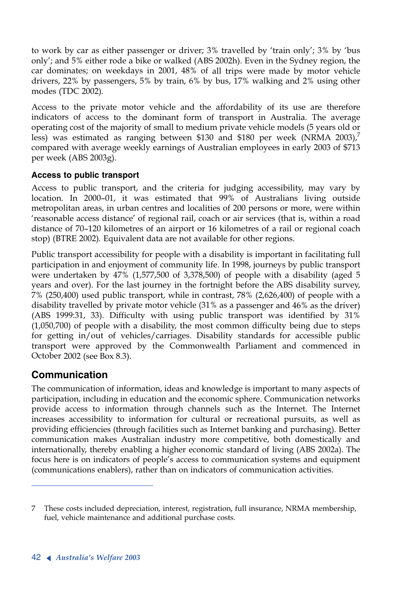to work by car as either passenger or driver; 3% travelled by 'train only'; 3% by 'bus only'; and 5% either rode a bike or walked (ABS 2002h). Even in the Sydney region, the car dominates; on weekdays in 2001, 48% of all trips were made by motor vehicle drivers, 22% by passengers, 5% by train, 6% by bus, 17% walking and 2% using other modes (TDC 2002)*.*

Access to the private motor vehicle and the affordability of its use are therefore indicators of access to the dominant form of transport in Australia. The average operating cost of the majority of small to medium private vehicle models (5 years old or less) was estimated as ranging between \$130 and \$180 per week (NRMA  $2003$ ),<sup>7</sup> compared with average weekly earnings of Australian employees in early 2003 of \$713 per week (ABS 2003g).

#### **Access to public transport**

Access to public transport, and the criteria for judging accessibility, may vary by location. In 2000–01, it was estimated that 99% of Australians living outside metropolitan areas, in urban centres and localities of 200 persons or more, were within 'reasonable access distance' of regional rail, coach or air services (that is, within a road distance of 70–120 kilometres of an airport or 16 kilometres of a rail or regional coach stop) (BTRE 2002)*.* Equivalent data are not available for other regions.

Public transport accessibility for people with a disability is important in facilitating full participation in and enjoyment of community life. In 1998, journeys by public transport were undertaken by 47% (1,577,500 of 3,378,500) of people with a disability (aged 5 years and over). For the last journey in the fortnight before the ABS disability survey, 7% (250,400) used public transport, while in contrast, 78% (2,626,400) of people with a disability travelled by private motor vehicle (31% as a passenger and 46% as the driver) (ABS 1999:31, 33). Difficulty with using public transport was identified by 31% (1,050,700) of people with a disability, the most common difficulty being due to steps for getting in/out of vehicles/carriages. Disability standards for accessible public transport were approved by the Commonwealth Parliament and commenced in October 2002 (see Box 8.3).

## **Communication**

The communication of information, ideas and knowledge is important to many aspects of participation, including in education and the economic sphere. Communication networks provide access to information through channels such as the Internet. The Internet increases accessibility to information for cultural or recreational pursuits, as well as providing efficiencies (through facilities such as Internet banking and purchasing). Better communication makes Australian industry more competitive, both domestically and internationally, thereby enabling a higher economic standard of living (ABS 2002a). The focus here is on indicators of people's access to communication systems and equipment (communications enablers), rather than on indicators of communication activities.

<sup>7</sup> These costs included depreciation, interest, registration, full insurance, NRMA membership, fuel, vehicle maintenance and additional purchase costs.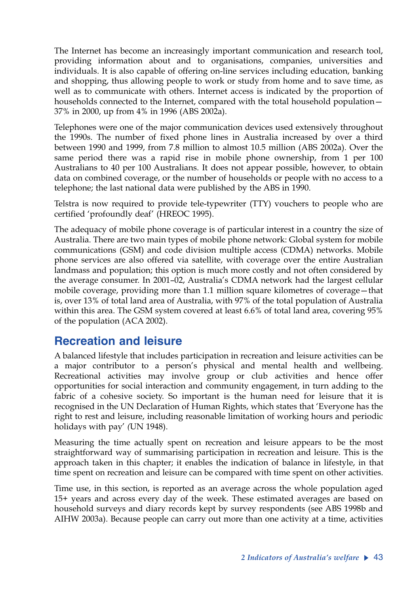The Internet has become an increasingly important communication and research tool, providing information about and to organisations, companies, universities and individuals. It is also capable of offering on-line services including education, banking and shopping, thus allowing people to work or study from home and to save time, as well as to communicate with others. Internet access is indicated by the proportion of households connected to the Internet, compared with the total household population— 37% in 2000, up from 4% in 1996 (ABS 2002a).

Telephones were one of the major communication devices used extensively throughout the 1990s. The number of fixed phone lines in Australia increased by over a third between 1990 and 1999, from 7.8 million to almost 10.5 million (ABS 2002a). Over the same period there was a rapid rise in mobile phone ownership, from 1 per 100 Australians to 40 per 100 Australians. It does not appear possible, however, to obtain data on combined coverage, or the number of households or people with no access to a telephone; the last national data were published by the ABS in 1990.

Telstra is now required to provide tele-typewriter (TTY) vouchers to people who are certified 'profoundly deaf' (HREOC 1995).

The adequacy of mobile phone coverage is of particular interest in a country the size of Australia. There are two main types of mobile phone network: Global system for mobile communications (GSM) and code division multiple access (CDMA) networks. Mobile phone services are also offered via satellite, with coverage over the entire Australian landmass and population; this option is much more costly and not often considered by the average consumer. In 2001–02, Australia's CDMA network had the largest cellular mobile coverage, providing more than 1.1 million square kilometres of coverage—that is, over 13% of total land area of Australia, with 97% of the total population of Australia within this area. The GSM system covered at least 6.6% of total land area, covering 95% of the population (ACA 2002).

# **Recreation and leisure**

A balanced lifestyle that includes participation in recreation and leisure activities can be a major contributor to a person's physical and mental health and wellbeing. Recreational activities may involve group or club activities and hence offer opportunities for social interaction and community engagement, in turn adding to the fabric of a cohesive society. So important is the human need for leisure that it is recognised in the UN Declaration of Human Rights, which states that 'Everyone has the right to rest and leisure, including reasonable limitation of working hours and periodic holidays with pay' *(*UN 1948).

Measuring the time actually spent on recreation and leisure appears to be the most straightforward way of summarising participation in recreation and leisure. This is the approach taken in this chapter; it enables the indication of balance in lifestyle, in that time spent on recreation and leisure can be compared with time spent on other activities.

Time use, in this section, is reported as an average across the whole population aged 15+ years and across every day of the week. These estimated averages are based on household surveys and diary records kept by survey respondents (see ABS 1998b and AIHW 2003a). Because people can carry out more than one activity at a time, activities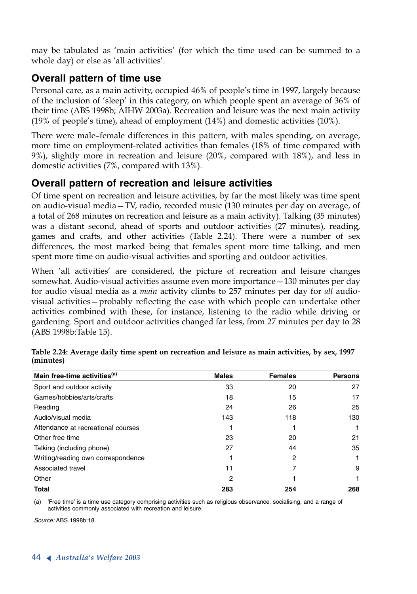may be tabulated as 'main activities' (for which the time used can be summed to a whole day) or else as 'all activities'.

# **Overall pattern of time use**

Personal care, as a main activity, occupied 46% of people's time in 1997, largely because of the inclusion of 'sleep' in this category, on which people spent an average of 36% of their time (ABS 1998b; AIHW 2003a). Recreation and leisure was the next main activity (19% of people's time), ahead of employment (14%) and domestic activities (10%).

There were male–female differences in this pattern, with males spending, on average, more time on employment-related activities than females (18% of time compared with 9%), slightly more in recreation and leisure (20%, compared with 18%), and less in domestic activities (7%, compared with 13%).

# **Overall pattern of recreation and leisure activities**

Of time spent on recreation and leisure activities, by far the most likely was time spent on audio-visual media—TV, radio, recorded music (130 minutes per day on average, of a total of 268 minutes on recreation and leisure as a main activity). Talking (35 minutes) was a distant second, ahead of sports and outdoor activities (27 minutes), reading, games and crafts, and other activities (Table 2.24). There were a number of sex differences, the most marked being that females spent more time talking, and men spent more time on audio-visual activities and sporting and outdoor activities.

When 'all activities' are considered, the picture of recreation and leisure changes somewhat. Audio-visual activities assume even more importance—130 minutes per day for audio visual media as a *main* activity climbs to 257 minutes per day for *all* audiovisual activities—probably reflecting the ease with which people can undertake other activities combined with these, for instance, listening to the radio while driving or gardening. Sport and outdoor activities changed far less, from 27 minutes per day to 28 (ABS 1998b:Table 15).

| Main free-time activities <sup>(a)</sup> | <b>Males</b> | <b>Females</b> | <b>Persons</b> |
|------------------------------------------|--------------|----------------|----------------|
| Sport and outdoor activity               | 33           | 20             | 27             |
| Games/hobbies/arts/crafts                | 18           | 15             | 17             |
| Reading                                  | 24           | 26             | 25             |
| Audio/visual media                       | 143          | 118            | 130            |
| Attendance at recreational courses       |              |                |                |
| Other free time                          | 23           | 20             | 21             |
| Talking (including phone)                | 27           | 44             | 35             |
| Writing/reading own correspondence       |              | 2              |                |
| Associated travel                        | 11           | 7              | 9              |
| Other                                    | 2            |                |                |
| <b>Total</b>                             | 283          | 254            | 268            |

**Table 2.24: Average daily time spent on recreation and leisure as main activities, by sex, 1997 (minutes)**

(a) 'Free time' is a time use category comprising activities such as religious observance, socialising, and a range of activities commonly associated with recreation and leisure.

*Source:* ABS 1998b:18.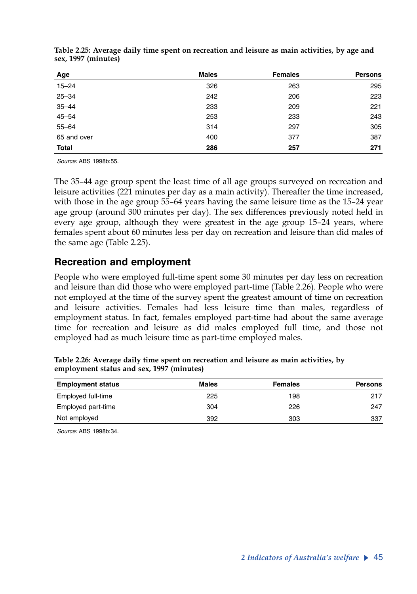| Age          | <b>Males</b> | <b>Females</b> | <b>Persons</b> |
|--------------|--------------|----------------|----------------|
| $15 - 24$    | 326          | 263            | 295            |
| $25 - 34$    | 242          | 206            | 223            |
| $35 - 44$    | 233          | 209            | 221            |
| $45 - 54$    | 253          | 233            | 243            |
| $55 - 64$    | 314          | 297            | 305            |
| 65 and over  | 400          | 377            | 387            |
| <b>Total</b> | 286          | 257            | 271            |

**Table 2.25: Average daily time spent on recreation and leisure as main activities, by age and sex, 1997 (minutes)**

*Source:* ABS 1998b:55.

The 35–44 age group spent the least time of all age groups surveyed on recreation and leisure activities (221 minutes per day as a main activity). Thereafter the time increased, with those in the age group 55–64 years having the same leisure time as the 15–24 year age group (around 300 minutes per day). The sex differences previously noted held in every age group, although they were greatest in the age group 15–24 years, where females spent about 60 minutes less per day on recreation and leisure than did males of the same age (Table 2.25).

#### **Recreation and employment**

People who were employed full-time spent some 30 minutes per day less on recreation and leisure than did those who were employed part-time (Table 2.26). People who were not employed at the time of the survey spent the greatest amount of time on recreation and leisure activities. Females had less leisure time than males, regardless of employment status. In fact, females employed part-time had about the same average time for recreation and leisure as did males employed full time, and those not employed had as much leisure time as part-time employed males.

| <b>Employment status</b> | Males | <b>Females</b> | <b>Persons</b> |
|--------------------------|-------|----------------|----------------|
| Employed full-time       | 225   | 198            | 217            |
| Employed part-time       | 304   | 226            | 247            |
| Not employed             | 392   | 303            | 337            |

**Table 2.26: Average daily time spent on recreation and leisure as main activities, by employment status and sex, 1997 (minutes)**

*Source:* ABS 1998b:34.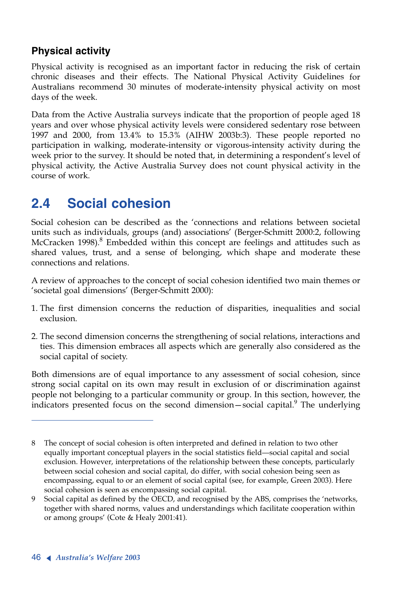# **Physical activity**

Physical activity is recognised as an important factor in reducing the risk of certain chronic diseases and their effects. The National Physical Activity Guidelines for Australians recommend 30 minutes of moderate-intensity physical activity on most days of the week.

Data from the Active Australia surveys indicate that the proportion of people aged 18 years and over whose physical activity levels were considered sedentary rose between 1997 and 2000, from 13.4% to 15.3% (AIHW 2003b:3). These people reported no participation in walking, moderate-intensity or vigorous-intensity activity during the week prior to the survey. It should be noted that, in determining a respondent's level of physical activity, the Active Australia Survey does not count physical activity in the course of work.

# **2.4 Social cohesion**

Social cohesion can be described as the 'connections and relations between societal units such as individuals, groups (and) associations' (Berger-Schmitt 2000:2, following McCracken 1998). $8$  Embedded within this concept are feelings and attitudes such as shared values, trust, and a sense of belonging, which shape and moderate these connections and relations.

A review of approaches to the concept of social cohesion identified two main themes or 'societal goal dimensions' (Berger-Schmitt 2000):

- 1. The first dimension concerns the reduction of disparities, inequalities and social exclusion.
- 2. The second dimension concerns the strengthening of social relations, interactions and ties. This dimension embraces all aspects which are generally also considered as the social capital of society.

Both dimensions are of equal importance to any assessment of social cohesion, since strong social capital on its own may result in exclusion of or discrimination against people not belonging to a particular community or group. In this section, however, the indicators presented focus on the second dimension—social capital.<sup>9</sup> The underlying

<sup>8</sup> The concept of social cohesion is often interpreted and defined in relation to two other equally important conceptual players in the social statistics field—social capital and social exclusion. However, interpretations of the relationship between these concepts, particularly between social cohesion and social capital, do differ, with social cohesion being seen as encompassing, equal to or an element of social capital (see, for example, Green 2003). Here social cohesion is seen as encompassing social capital.

<sup>9</sup> Social capital as defined by the OECD, and recognised by the ABS, comprises the 'networks, together with shared norms, values and understandings which facilitate cooperation within or among groups' (Cote & Healy 2001:41).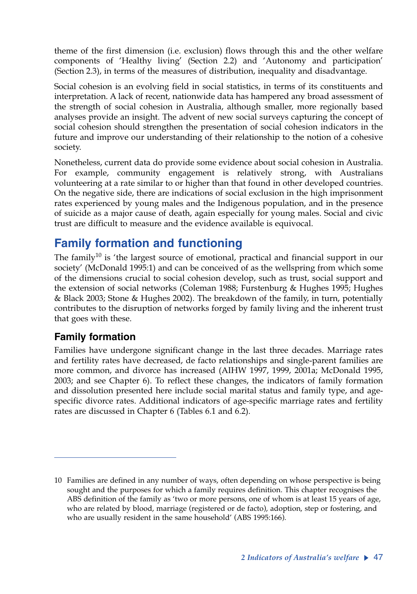theme of the first dimension (i.e. exclusion) flows through this and the other welfare components of 'Healthy living' (Section 2.2) and 'Autonomy and participation' (Section 2.3), in terms of the measures of distribution, inequality and disadvantage.

Social cohesion is an evolving field in social statistics, in terms of its constituents and interpretation. A lack of recent, nationwide data has hampered any broad assessment of the strength of social cohesion in Australia, although smaller, more regionally based analyses provide an insight. The advent of new social surveys capturing the concept of social cohesion should strengthen the presentation of social cohesion indicators in the future and improve our understanding of their relationship to the notion of a cohesive society.

Nonetheless, current data do provide some evidence about social cohesion in Australia. For example, community engagement is relatively strong, with Australians volunteering at a rate similar to or higher than that found in other developed countries. On the negative side, there are indications of social exclusion in the high imprisonment rates experienced by young males and the Indigenous population, and in the presence of suicide as a major cause of death, again especially for young males. Social and civic trust are difficult to measure and the evidence available is equivocal.

# **Family formation and functioning**

The family<sup>10</sup> is 'the largest source of emotional, practical and financial support in our society' (McDonald 1995:1) and can be conceived of as the wellspring from which some of the dimensions crucial to social cohesion develop, such as trust, social support and the extension of social networks (Coleman 1988; Furstenburg & Hughes 1995; Hughes & Black 2003; Stone & Hughes 2002). The breakdown of the family, in turn, potentially contributes to the disruption of networks forged by family living and the inherent trust that goes with these.

# **Family formation**

Families have undergone significant change in the last three decades. Marriage rates and fertility rates have decreased, de facto relationships and single-parent families are more common, and divorce has increased (AIHW 1997, 1999, 2001a; McDonald 1995, 2003; and see Chapter 6). To reflect these changes, the indicators of family formation and dissolution presented here include social marital status and family type, and agespecific divorce rates. Additional indicators of age-specific marriage rates and fertility rates are discussed in Chapter 6 (Tables 6.1 and 6.2).

<sup>10</sup> Families are defined in any number of ways, often depending on whose perspective is being sought and the purposes for which a family requires definition. This chapter recognises the ABS definition of the family as 'two or more persons, one of whom is at least 15 years of age, who are related by blood, marriage (registered or de facto), adoption, step or fostering, and who are usually resident in the same household' (ABS 1995:166).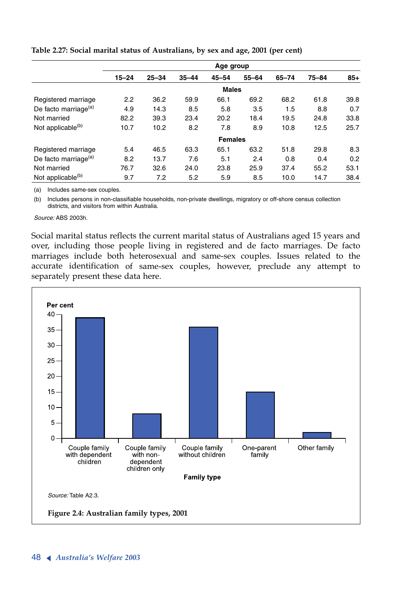|                                  | Age group |           |           |                |           |       |           |       |  |
|----------------------------------|-----------|-----------|-----------|----------------|-----------|-------|-----------|-------|--|
|                                  | $15 - 24$ | $25 - 34$ | $35 - 44$ | $45 - 54$      | $55 - 64$ | 65-74 | $75 - 84$ | $85+$ |  |
|                                  |           |           |           | <b>Males</b>   |           |       |           |       |  |
| Registered marriage              | 2.2       | 36.2      | 59.9      | 66.1           | 69.2      | 68.2  | 61.8      | 39.8  |  |
| De facto marriage <sup>(a)</sup> | 4.9       | 14.3      | 8.5       | 5.8            | 3.5       | 1.5   | 8.8       | 0.7   |  |
| Not married                      | 82.2      | 39.3      | 23.4      | 20.2           | 18.4      | 19.5  | 24.8      | 33.8  |  |
| Not applicable <sup>(b)</sup>    | 10.7      | 10.2      | 8.2       | 7.8            | 8.9       | 10.8  | 12.5      | 25.7  |  |
|                                  |           |           |           | <b>Females</b> |           |       |           |       |  |
| Registered marriage              | 5.4       | 46.5      | 63.3      | 65.1           | 63.2      | 51.8  | 29.8      | 8.3   |  |
| De facto marriage <sup>(a)</sup> | 8.2       | 13.7      | 7.6       | 5.1            | 2.4       | 0.8   | 0.4       | 0.2   |  |
| Not married                      | 76.7      | 32.6      | 24.0      | 23.8           | 25.9      | 37.4  | 55.2      | 53.1  |  |
| Not applicable <sup>(b)</sup>    | 9.7       | 7.2       | 5.2       | 5.9            | 8.5       | 10.0  | 14.7      | 38.4  |  |

**Table 2.27: Social marital status of Australians, by sex and age, 2001 (per cent)**

(a) Includes same-sex couples.

(b) Includes persons in non-classifiable households, non-private dwellings, migratory or off-shore census collection districts, and visitors from within Australia.

*Source:* ABS 2003h.

Social marital status reflects the current marital status of Australians aged 15 years and over, including those people living in registered and de facto marriages. De facto marriages include both heterosexual and same-sex couples. Issues related to the accurate identification of same-sex couples, however, preclude any attempt to separately present these data here.

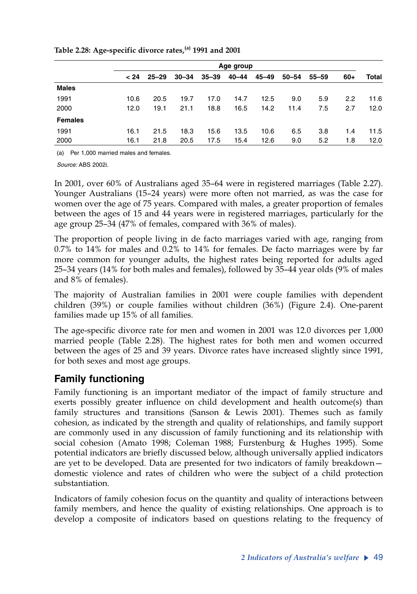|                | Age group |           |           |           |       |       |           |           |       |       |
|----------------|-----------|-----------|-----------|-----------|-------|-------|-----------|-----------|-------|-------|
|                | < 24      | $25 - 29$ | $30 - 34$ | $35 - 39$ | 40–44 | 45–49 | $50 - 54$ | $55 - 59$ | $60+$ | Total |
| <b>Males</b>   |           |           |           |           |       |       |           |           |       |       |
| 1991           | 10.6      | 20.5      | 19.7      | 17.0      | 14.7  | 12.5  | 9.0       | 5.9       | 2.2   | 11.6  |
| 2000           | 12.0      | 19.1      | 21.1      | 18.8      | 16.5  | 14.2  | 11.4      | 7.5       | 2.7   | 12.0  |
| <b>Females</b> |           |           |           |           |       |       |           |           |       |       |
| 1991           | 16.1      | 21.5      | 18.3      | 15.6      | 13.5  | 10.6  | 6.5       | 3.8       | 1.4   | 11.5  |
| 2000           | 16.1      | 21.8      | 20.5      | 17.5      | 15.4  | 12.6  | 9.0       | 5.2       | 1.8   | 12.0  |

**Table 2.28: Age-specific divorce rates,(a) 1991 and 2001**

(a) Per 1,000 married males and females.

*Source:* ABS 2002i.

In 2001, over 60% of Australians aged 35–64 were in registered marriages (Table 2.27). Younger Australians (15–24 years) were more often not married, as was the case for women over the age of 75 years. Compared with males, a greater proportion of females between the ages of 15 and 44 years were in registered marriages, particularly for the age group 25–34 (47% of females, compared with 36% of males).

The proportion of people living in de facto marriages varied with age, ranging from 0.7% to 14% for males and 0.2% to 14% for females. De facto marriages were by far more common for younger adults, the highest rates being reported for adults aged 25–34 years (14% for both males and females), followed by 35–44 year olds (9% of males and 8% of females).

The majority of Australian families in 2001 were couple families with dependent children (39%) or couple families without children (36%) (Figure 2.4). One-parent families made up 15% of all families.

The age-specific divorce rate for men and women in 2001 was 12.0 divorces per 1,000 married people (Table 2.28). The highest rates for both men and women occurred between the ages of 25 and 39 years. Divorce rates have increased slightly since 1991, for both sexes and most age groups.

# **Family functioning**

Family functioning is an important mediator of the impact of family structure and exerts possibly greater influence on child development and health outcome(s) than family structures and transitions (Sanson & Lewis 2001). Themes such as family cohesion, as indicated by the strength and quality of relationships, and family support are commonly used in any discussion of family functioning and its relationship with social cohesion (Amato 1998; Coleman 1988; Furstenburg & Hughes 1995). Some potential indicators are briefly discussed below, although universally applied indicators are yet to be developed. Data are presented for two indicators of family breakdown domestic violence and rates of children who were the subject of a child protection substantiation.

Indicators of family cohesion focus on the quantity and quality of interactions between family members, and hence the quality of existing relationships. One approach is to develop a composite of indicators based on questions relating to the frequency of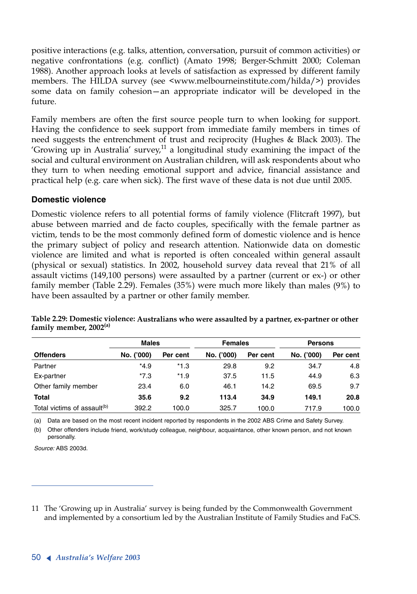positive interactions (e.g. talks, attention, conversation, pursuit of common activities) or negative confrontations (e.g. conflict) (Amato 1998; Berger-Schmitt 2000; Coleman 1988). Another approach looks at levels of satisfaction as expressed by different family members. The HILDA survey (see <www.melbourneinstitute.com/hilda/>) provides some data on family cohesion—an appropriate indicator will be developed in the future.

Family members are often the first source people turn to when looking for support. Having the confidence to seek support from immediate family members in times of need suggests the entrenchment of trust and reciprocity (Hughes & Black 2003). The 'Growing up in Australia' survey, $^{11}$  a longitudinal study examining the impact of the social and cultural environment on Australian children, will ask respondents about who they turn to when needing emotional support and advice, financial assistance and practical help (e.g. care when sick). The first wave of these data is not due until 2005.

#### **Domestic violence**

Domestic violence refers to all potential forms of family violence (Flitcraft 1997), but abuse between married and de facto couples, specifically with the female partner as victim, tends to be the most commonly defined form of domestic violence and is hence the primary subject of policy and research attention. Nationwide data on domestic violence are limited and what is reported is often concealed within general assault (physical or sexual) statistics. In 2002, household survey data reveal that 21% of all assault victims (149,100 persons) were assaulted by a partner (current or ex-) or other family member (Table 2.29). Females (35%) were much more likely than males (9%) to have been assaulted by a partner or other family member.

|                                         | <b>Males</b> |          | <b>Females</b> |          | <b>Persons</b> |          |  |
|-----------------------------------------|--------------|----------|----------------|----------|----------------|----------|--|
| <b>Offenders</b>                        | No. ('000)   | Per cent | No. ('000)     | Per cent | No. ('000)     | Per cent |  |
| Partner                                 | $*4.9$       | $*1.3$   | 29.8           | 9.2      | 34.7           | 4.8      |  |
| Ex-partner                              | $*7.3$       | $*1.9$   | 37.5           | 11.5     | 44.9           | 6.3      |  |
| Other family member                     | 23.4         | 6.0      | 46.1           | 14.2     | 69.5           | 9.7      |  |
| <b>Total</b>                            | 35.6         | 9.2      | 113.4          | 34.9     | 149.1          | 20.8     |  |
| Total victims of assault <sup>(b)</sup> | 392.2        | 100.0    | 325.7          | 100.0    | 717.9          | 100.0    |  |

**Table 2.29: Domestic violence: Australians who were assaulted by a partner, ex-partner or other family member, 2002(a)**

(a) Data are based on the most recent incident reported by respondents in the 2002 ABS Crime and Safety Survey.

(b) Other offenders include friend, work/study colleague, neighbour, acquaintance, other known person, and not known personally.

*Source:* ABS 2003d.

<sup>11</sup> The 'Growing up in Australia' survey is being funded by the Commonwealth Government and implemented by a consortium led by the Australian Institute of Family Studies and FaCS.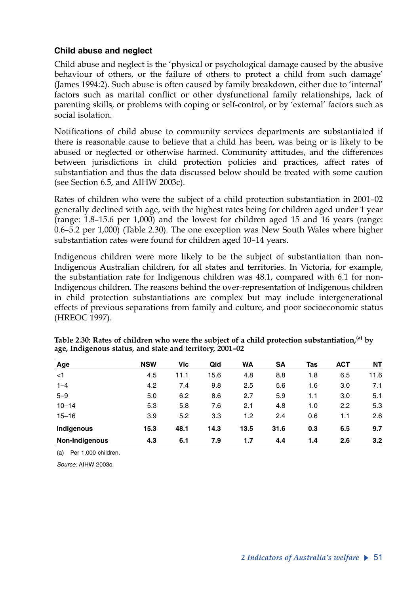#### **Child abuse and neglect**

Child abuse and neglect is the 'physical or psychological damage caused by the abusive behaviour of others, or the failure of others to protect a child from such damage' (James 1994:2). Such abuse is often caused by family breakdown, either due to 'internal' factors such as marital conflict or other dysfunctional family relationships, lack of parenting skills, or problems with coping or self-control, or by 'external' factors such as social isolation.

Notifications of child abuse to community services departments are substantiated if there is reasonable cause to believe that a child has been, was being or is likely to be abused or neglected or otherwise harmed. Community attitudes, and the differences between jurisdictions in child protection policies and practices, affect rates of substantiation and thus the data discussed below should be treated with some caution (see Section 6.5, and AIHW 2003c).

Rates of children who were the subject of a child protection substantiation in 2001–02 generally declined with age, with the highest rates being for children aged under 1 year (range: 1.8–15.6 per 1,000) and the lowest for children aged 15 and 16 years (range: 0.6–5.2 per 1,000) (Table 2.30). The one exception was New South Wales where higher substantiation rates were found for children aged 10–14 years.

Indigenous children were more likely to be the subject of substantiation than non-Indigenous Australian children, for all states and territories. In Victoria, for example, the substantiation rate for Indigenous children was 48.1, compared with 6.1 for non-Indigenous children. The reasons behind the over-representation of Indigenous children in child protection substantiations are complex but may include intergenerational effects of previous separations from family and culture, and poor socioeconomic status (HREOC 1997).

| Age            | <b>NSW</b> | Vic  | Qld  | WA   | <b>SA</b> | Tas | <b>ACT</b> | ΝT   |
|----------------|------------|------|------|------|-----------|-----|------------|------|
| $<$ 1          | 4.5        | 11.1 | 15.6 | 4.8  | 8.8       | 1.8 | 6.5        | 11.6 |
| $1 - 4$        | 4.2        | 7.4  | 9.8  | 2.5  | 5.6       | 1.6 | 3.0        | 7.1  |
| $5 - 9$        | 5.0        | 6.2  | 8.6  | 2.7  | 5.9       | 1.1 | 3.0        | 5.1  |
| $10 - 14$      | 5.3        | 5.8  | 7.6  | 2.1  | 4.8       | 1.0 | 2.2        | 5.3  |
| $15 - 16$      | 3.9        | 5.2  | 3.3  | 1.2  | 2.4       | 0.6 | 1.1        | 2.6  |
| Indigenous     | 15.3       | 48.1 | 14.3 | 13.5 | 31.6      | 0.3 | 6.5        | 9.7  |
| Non-Indigenous | 4.3        | 6.1  | 7.9  | 1.7  | 4.4       | 1.4 | 2.6        | 3.2  |

Table 2.30: Rates of children who were the subject of a child protection substantiation,<sup>(a)</sup> by **age, Indigenous status, and state and territory, 2001–02**

(a) Per 1,000 children.

*Source:* AIHW 2003c.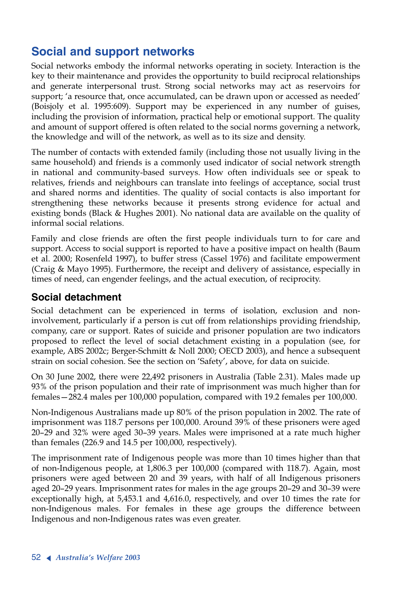# **Social and support networks**

Social networks embody the informal networks operating in society. Interaction is the key to their maintenance and provides the opportunity to build reciprocal relationships and generate interpersonal trust. Strong social networks may act as reservoirs for support; 'a resource that, once accumulated, can be drawn upon or accessed as needed' (Boisjoly et al. 1995:609). Support may be experienced in any number of guises, including the provision of information, practical help or emotional support. The quality and amount of support offered is often related to the social norms governing a network, the knowledge and will of the network, as well as to its size and density.

The number of contacts with extended family (including those not usually living in the same household) and friends is a commonly used indicator of social network strength in national and community-based surveys. How often individuals see or speak to relatives, friends and neighbours can translate into feelings of acceptance, social trust and shared norms and identities. The quality of social contacts is also important for strengthening these networks because it presents strong evidence for actual and existing bonds (Black & Hughes 2001). No national data are available on the quality of informal social relations.

Family and close friends are often the first people individuals turn to for care and support. Access to social support is reported to have a positive impact on health (Baum et al. 2000; Rosenfeld 1997), to buffer stress (Cassel 1976) and facilitate empowerment (Craig & Mayo 1995). Furthermore, the receipt and delivery of assistance, especially in times of need, can engender feelings, and the actual execution, of reciprocity.

### **Social detachment**

Social detachment can be experienced in terms of isolation, exclusion and noninvolvement, particularly if a person is cut off from relationships providing friendship, company, care or support. Rates of suicide and prisoner population are two indicators proposed to reflect the level of social detachment existing in a population (see, for example, ABS 2002c; Berger-Schmitt & Noll 2000; OECD 2003), and hence a subsequent strain on social cohesion. See the section on 'Safety', above, for data on suicide.

On 30 June 2002, there were 22,492 prisoners in Australia (Table 2.31). Males made up 93% of the prison population and their rate of imprisonment was much higher than for females—282.4 males per 100,000 population, compared with 19.2 females per 100,000.

Non-Indigenous Australians made up 80% of the prison population in 2002. The rate of imprisonment was 118.7 persons per 100,000. Around 39% of these prisoners were aged 20–29 and 32% were aged 30–39 years. Males were imprisoned at a rate much higher than females (226.9 and 14.5 per 100,000, respectively).

The imprisonment rate of Indigenous people was more than 10 times higher than that of non-Indigenous people, at 1,806.3 per 100,000 (compared with 118.7). Again, most prisoners were aged between 20 and 39 years, with half of all Indigenous prisoners aged 20–29 years. Imprisonment rates for males in the age groups 20–29 and 30–39 were exceptionally high, at 5,453.1 and 4,616.0, respectively, and over 10 times the rate for non-Indigenous males. For females in these age groups the difference between Indigenous and non-Indigenous rates was even greater.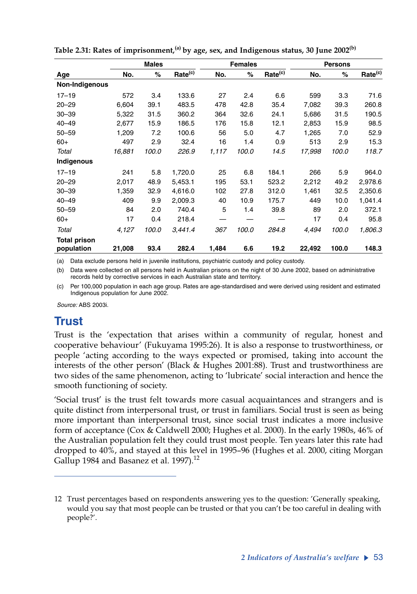| <b>Males</b>   |        |       | <b>Females</b>      |       |       | <b>Persons</b>      |        |       |                     |
|----------------|--------|-------|---------------------|-------|-------|---------------------|--------|-------|---------------------|
| Age            | No.    | %     | Rate <sup>(c)</sup> | No.   | %     | Rate <sup>(c)</sup> | No.    | %     | Rate <sup>(c)</sup> |
| Non-Indigenous |        |       |                     |       |       |                     |        |       |                     |
| $17 - 19$      | 572    | 3.4   | 133.6               | 27    | 2.4   | 6.6                 | 599    | 3.3   | 71.6                |
| $20 - 29$      | 6,604  | 39.1  | 483.5               | 478   | 42.8  | 35.4                | 7,082  | 39.3  | 260.8               |
| $30 - 39$      | 5,322  | 31.5  | 360.2               | 364   | 32.6  | 24.1                | 5,686  | 31.5  | 190.5               |
| $40 - 49$      | 2,677  | 15.9  | 186.5               | 176   | 15.8  | 12.1                | 2,853  | 15.9  | 98.5                |
| $50 - 59$      | 1,209  | 7.2   | 100.6               | 56    | 5.0   | 4.7                 | 1,265  | 7.0   | 52.9                |
| $60+$          | 497    | 2.9   | 32.4                | 16    | 1.4   | 0.9                 | 513    | 2.9   | 15.3                |
| Total          | 16,881 | 100.0 | 226.9               | 1,117 | 100.0 | 14.5                | 17,998 | 100.0 | 118.7               |
| Indigenous     |        |       |                     |       |       |                     |        |       |                     |
| $17 - 19$      | 241    | 5.8   | 1,720.0             | 25    | 6.8   | 184.1               | 266    | 5.9   | 964.0               |
| $20 - 29$      | 2,017  | 48.9  | 5,453.1             | 195   | 53.1  | 523.2               | 2,212  | 49.2  | 2,978.6             |
| $30 - 39$      | 1,359  | 32.9  | 4,616.0             | 102   | 27.8  | 312.0               | 1,461  | 32.5  | 2,350.6             |
| $40 - 49$      | 409    | 9.9   | 2,009.3             | 40    | 10.9  | 175.7               | 449    | 10.0  | 1,041.4             |
| $50 - 59$      | 84     | 2.0   | 740.4               | 5     | 1.4   | 39.8                | 89     | 2.0   | 372.1               |
| $60+$          | 17     | 0.4   | 218.4               |       |       |                     | 17     | 0.4   | 95.8                |
| Total          | 4,127  | 100.0 | 3,441.4             | 367   | 100.0 | 284.8               | 4,494  | 100.0 | 1,806.3             |
| Total prison   |        |       |                     |       |       |                     |        |       |                     |
| population     | 21,008 | 93.4  | 282.4               | 1,484 | 6.6   | 19.2                | 22,492 | 100.0 | 148.3               |

**Table 2.31: Rates of imprisonment,(a) by age, sex, and Indigenous status, 30 June 2002(b)**

(a) Data exclude persons held in juvenile institutions, psychiatric custody and policy custody.

(b) Data were collected on all persons held in Australian prisons on the night of 30 June 2002, based on administrative records held by corrective services in each Australian state and territory.

(c) Per 100,000 population in each age group. Rates are age-standardised and were derived using resident and estimated Indigenous population for June 2002.

*Source:* ABS 2003i.

# **Trust**

Trust is the 'expectation that arises within a community of regular, honest and cooperative behaviour' (Fukuyama 1995:26). It is also a response to trustworthiness, or people 'acting according to the ways expected or promised, taking into account the interests of the other person' (Black & Hughes 2001:88). Trust and trustworthiness are two sides of the same phenomenon, acting to 'lubricate' social interaction and hence the smooth functioning of society.

'Social trust' is the trust felt towards more casual acquaintances and strangers and is quite distinct from interpersonal trust, or trust in familiars. Social trust is seen as being more important than interpersonal trust, since social trust indicates a more inclusive form of acceptance (Cox & Caldwell 2000; Hughes et al. 2000). In the early 1980s, 46% of the Australian population felt they could trust most people. Ten years later this rate had dropped to 40%, and stayed at this level in 1995–96 (Hughes et al. 2000, citing Morgan Gallup 1984 and Basanez et al.  $1997$ <sup>12</sup>

<sup>12</sup> Trust percentages based on respondents answering yes to the question: 'Generally speaking, would you say that most people can be trusted or that you can't be too careful in dealing with people?'.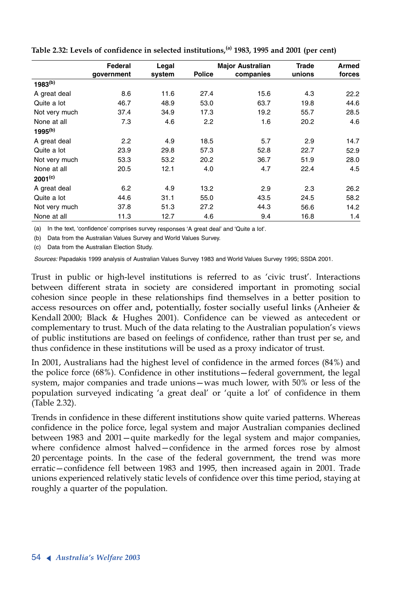|               | Federal<br>Legal |        |               | <b>Major Australian</b> | Trade  | Armed  |  |
|---------------|------------------|--------|---------------|-------------------------|--------|--------|--|
|               | qovernment       | system | <b>Police</b> | companies               | unions | forces |  |
| $1983^{(b)}$  |                  |        |               |                         |        |        |  |
| A great deal  | 8.6              | 11.6   | 27.4          | 15.6                    | 4.3    | 22.2   |  |
| Quite a lot   | 46.7             | 48.9   | 53.0          | 63.7                    | 19.8   | 44.6   |  |
| Not very much | 37.4             | 34.9   | 17.3          | 19.2                    | 55.7   | 28.5   |  |
| None at all   | 7.3              | 4.6    | 2.2           | 1.6                     | 20.2   | 4.6    |  |
| $1995^{(b)}$  |                  |        |               |                         |        |        |  |
| A great deal  | 2.2              | 4.9    | 18.5          | 5.7                     | 2.9    | 14.7   |  |
| Quite a lot   | 23.9             | 29.8   | 57.3          | 52.8                    | 22.7   | 52.9   |  |
| Not very much | 53.3             | 53.2   | 20.2          | 36.7                    | 51.9   | 28.0   |  |
| None at all   | 20.5             | 12.1   | 4.0           | 4.7                     | 22.4   | 4.5    |  |
| $2001^{(c)}$  |                  |        |               |                         |        |        |  |
| A great deal  | 6.2              | 4.9    | 13.2          | 2.9                     | 2.3    | 26.2   |  |
| Quite a lot   | 44.6             | 31.1   | 55.0          | 43.5                    | 24.5   | 58.2   |  |
| Not very much | 37.8             | 51.3   | 27.2          | 44.3                    | 56.6   | 14.2   |  |
| None at all   | 11.3             | 12.7   | 4.6           | 9.4                     | 16.8   | 1.4    |  |

**Table 2.32: Levels of confidence in selected institutions,(a) 1983, 1995 and 2001 (per cent)**

(a) In the text, 'confidence' comprises survey responses 'A great deal' and 'Quite a lot'.

(b) Data from the Australian Values Survey and World Values Survey.

(c) Data from the Australian Election Study.

*Sources:* Papadakis 1999 analysis of Australian Values Survey 1983 and World Values Survey 1995; SSDA 2001.

Trust in public or high-level institutions is referred to as 'civic trust'. Interactions between different strata in society are considered important in promoting social cohesion since people in these relationships find themselves in a better position to <sup>a</sup>ccess resources on offer and, potentially, foster socially useful links (Anheier & Kendall 2000; Black & Hughes 2001). Confidence can be viewed as antecedent or complementary to trust. Much of the data relating to the Australian population's views of public institutions are based on feelings of confidence, rather than trust per se, and thus confidence in these institutions will be used as a proxy indicator of trust.

In 2001, Australians had the highest level of confidence in the armed forces (84%) and the police force (68%). Confidence in other institutions—federal government, the legal system, major companies and trade unions—was much lower, with 50% or less of the population surveyed indicating 'a great deal' or 'quite a lot' of confidence in them (Table 2.32).

Trends in confidence in these different institutions show quite varied patterns. Whereas confidence in the police force, legal system and major Australian companies declined between 1983 and 2001—quite markedly for the legal system and major companies, where confidence almost halved—confidence in the armed forces rose by almost 20 percentage points. In the case of the federal government, the trend was more erratic—confidence fell between 1983 and 1995, then increased again in 2001. Trade unions experienced relatively static levels of confidence over this time period, staying at roughly a quarter of the population.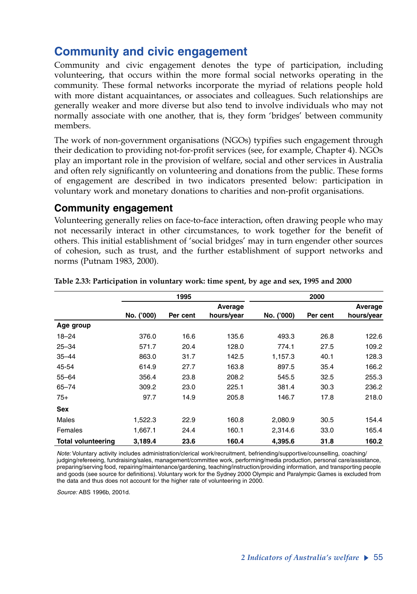# **Community and civic engagement**

Community and civic engagement denotes the type of participation, including volunteering, that occurs within the more formal social networks operating in the community. These formal networks incorporate the myriad of relations people hold with more distant acquaintances, or associates and colleagues. Such relationships are generally weaker and more diverse but also tend to involve individuals who may not normally associate with one another, that is, they form 'bridges' between community members.

The work of non-government organisations (NGOs) typifies such engagement through their dedication to providing not-for-profit services (see, for example, Chapter 4). NGOs play an important role in the provision of welfare, social and other services in Australia and often rely significantly on volunteering and donations from the public. These forms of engagement are described in two indicators presented below: participation in voluntary work and monetary donations to charities and non-profit organisations.

#### **Community engagement**

Volunteering generally relies on face-to-face interaction, often drawing people who may not necessarily interact in other circumstances, to work together for the benefit of others. This initial establishment of 'social bridges' may in turn engender other sources of cohesion, such as trust, and the further establishment of support networks and norms (Putnam 1983, 2000).

|                           |            | 1995     |            |            | 2000     |            |
|---------------------------|------------|----------|------------|------------|----------|------------|
|                           |            |          | Average    |            |          | Average    |
|                           | No. ('000) | Per cent | hours/year | No. ('000) | Per cent | hours/year |
| Age group                 |            |          |            |            |          |            |
| $18 - 24$                 | 376.0      | 16.6     | 135.6      | 493.3      | 26.8     | 122.6      |
| $25 - 34$                 | 571.7      | 20.4     | 128.0      | 774.1      | 27.5     | 109.2      |
| $35 - 44$                 | 863.0      | 31.7     | 142.5      | 1,157.3    | 40.1     | 128.3      |
| 45-54                     | 614.9      | 27.7     | 163.8      | 897.5      | 35.4     | 166.2      |
| $55 - 64$                 | 356.4      | 23.8     | 208.2      | 545.5      | 32.5     | 255.3      |
| $65 - 74$                 | 309.2      | 23.0     | 225.1      | 381.4      | 30.3     | 236.2      |
| $75+$                     | 97.7       | 14.9     | 205.8      | 146.7      | 17.8     | 218.0      |
| <b>Sex</b>                |            |          |            |            |          |            |
| Males                     | 1,522.3    | 22.9     | 160.8      | 2,080.9    | 30.5     | 154.4      |
| Females                   | 1,667.1    | 24.4     | 160.1      | 2,314.6    | 33.0     | 165.4      |
| <b>Total volunteering</b> | 3,189.4    | 23.6     | 160.4      | 4,395.6    | 31.8     | 160.2      |

#### **Table 2.33: Participation in voluntary work: time spent, by age and sex, 1995 and 2000**

*Note:* Voluntary activity includes administration/clerical work/recruitment, befriending/supportive/counselling, coaching/ judging/refereeing, fundraising/sales, management/committee work, performing/media production, personal care/assistance, preparing/serving food, repairing/maintenance/gardening, teaching/instruction/providing information, and transporting people and goods (see source for definitions). Voluntary work for the Sydney 2000 Olympic and Paralympic Games is excluded from the data and thus does not account for the higher rate of volunteering in 2000.

*Source:* ABS 1996b, 2001d.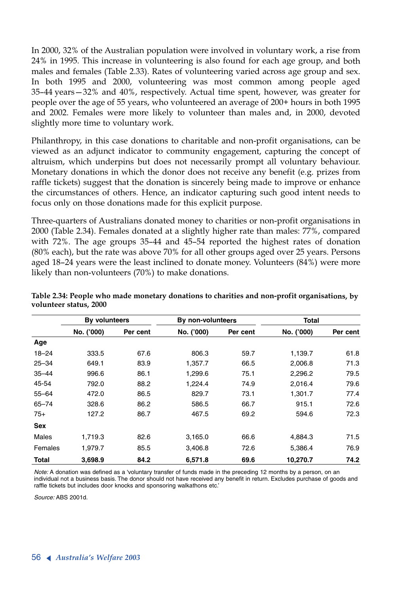In 2000, 32% of the Australian population were involved in voluntary work, a rise from 24% in 1995. This increase in volunteering is also found for each age group, and both males and females (Table 2.33). Rates of volunteering varied across age group and sex. In both 1995 and 2000, volunteering was most common among people aged 35–44 years—32% and 40%, respectively. Actual time spent, however, was greater for people over the age of 55 years, who volunteered an average of 200+ hours in both 1995 and 2002. Females were more likely to volunteer than males and, in 2000, devoted slightly more time to voluntary work.

Philanthropy, in this case donations to charitable and non-profit organisations, can be viewed as an adjunct indicator to community engagement, capturing the concept of altruism, which underpins but does not necessarily prompt all voluntary behaviour. Monetary donations in which the donor does not receive any benefit (e.g. prizes from raffle tickets) suggest that the donation is sincerely being made to improve or enhance the circumstances of others. Hence, an indicator capturing such good intent needs to focus only on those donations made for this explicit purpose.

Three-quarters of Australians donated money to charities or non-profit organisations in 2000 (Table 2.34). Females donated at a slightly higher rate than males: 77%, compared with 72%. The age groups 35–44 and 45–54 reported the highest rates of donation (80% each), but the rate was above 70% for all other groups aged over 25 years. Persons aged 18–24 years were the least inclined to donate money. Volunteers (84%) were more likely than non-volunteers (70%) to make donations.

|              | By volunteers |          | By non-volunteers |          | Total      |          |
|--------------|---------------|----------|-------------------|----------|------------|----------|
|              | No. ('000)    | Per cent | No. ('000)        | Per cent | No. ('000) | Per cent |
| Age          |               |          |                   |          |            |          |
| $18 - 24$    | 333.5         | 67.6     | 806.3             | 59.7     | 1,139.7    | 61.8     |
| $25 - 34$    | 649.1         | 83.9     | 1.357.7           | 66.5     | 2.006.8    | 71.3     |
| $35 - 44$    | 996.6         | 86.1     | 1,299.6           | 75.1     | 2,296.2    | 79.5     |
| 45-54        | 792.0         | 88.2     | 1.224.4           | 74.9     | 2.016.4    | 79.6     |
| $55 - 64$    | 472.0         | 86.5     | 829.7             | 73.1     | 1,301.7    | 77.4     |
| $65 - 74$    | 328.6         | 86.2     | 586.5             | 66.7     | 915.1      | 72.6     |
| $75+$        | 127.2         | 86.7     | 467.5             | 69.2     | 594.6      | 72.3     |
| <b>Sex</b>   |               |          |                   |          |            |          |
| Males        | 1.719.3       | 82.6     | 3.165.0           | 66.6     | 4.884.3    | 71.5     |
| Females      | 1.979.7       | 85.5     | 3.406.8           | 72.6     | 5.386.4    | 76.9     |
| <b>Total</b> | 3,698.9       | 84.2     | 6,571.8           | 69.6     | 10,270.7   | 74.2     |

**Table 2.34: People who made monetary donations to charities and non-profit organisations, by volunteer status, 2000**

*Note:* A donation was defined as a 'voluntary transfer of funds made in the preceding 12 months by a person, on an individual not a business basis. The donor should not have received any benefit in return. Excludes purchase of goods and raffle tickets but includes door knocks and sponsoring walkathons etc.'

*Source:* ABS 2001d.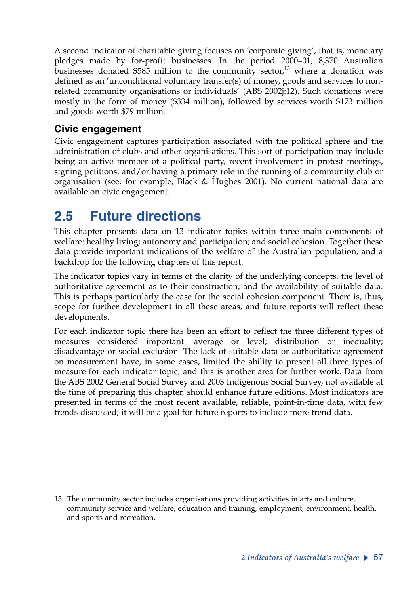A second indicator of charitable giving focuses on 'corporate giving', that is, monetary pledges made by for-profit businesses. In the period 2000–01, 8,370 Australian businesses donated \$585 million to the community sector, $^{13}$  where a donation was defined as an 'unconditional voluntary transfer(s) of money, goods and services to nonrelated community organisations or individuals' (ABS 2002j:12). Such donations were mostly in the form of money (\$334 million), followed by services worth \$173 million and goods worth \$79 million.

## **Civic engagement**

Civic engagement captures participation associated with the political sphere and the administration of clubs and other organisations. This sort of participation may include being an active member of a political party, recent involvement in protest meetings, signing petitions, and/or having a primary role in the running of a community club or organisation (see, for example, Black & Hughes 2001). No current national data are available on civic engagement.

# **2.5 Future directions**

This chapter presents data on 13 indicator topics within three main components of welfare: healthy living; autonomy and participation; and social cohesion. Together these data provide important indications of the welfare of the Australian population, and a backdrop for the following chapters of this report.

The indicator topics vary in terms of the clarity of the underlying concepts, the level of authoritative agreement as to their construction, and the availability of suitable data. This is perhaps particularly the case for the social cohesion component. There is, thus, scope for further development in all these areas, and future reports will reflect these developments.

For each indicator topic there has been an effort to reflect the three different types of measures considered important: average or level; distribution or inequality; disadvantage or social exclusion. The lack of suitable data or authoritative agreement on measurement have, in some cases, limited the ability to present all three types of measure for each indicator topic, and this is another area for further work. Data from the ABS 2002 General Social Survey and 2003 Indigenous Social Survey, not available at the time of preparing this chapter, should enhance future editions. Most indicators are presented in terms of the most recent available, reliable, point-in-time data, with few trends discussed; it will be a goal for future reports to include more trend data.

<sup>13</sup> The community sector includes organisations providing activities in arts and culture, community service and welfare, education and training, employment, environment, health, and sports and recreation.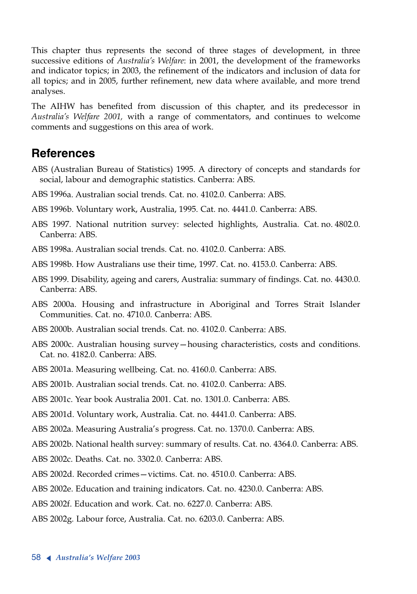This chapter thus represents the second of three stages of development, in three successive editions of *Australia's Welfare*: in 2001, the development of the frameworks and indicator topics; in 2003, the refinement of the indicators and inclusion of data for all topics; and in 2005, further refinement, new data where available, and more trend analyses.

The AIHW has benefited from discussion of this chapter, and its predecessor in *Australia's Welfare 2001,* with a range of commentators, and continues to welcome comments and suggestions on this area of work.

## **References**

- ABS (Australian Bureau of Statistics) 1995. A directory of concepts and standards for social, labour and demographic statistics. Canberra: ABS.
- ABS 1996a. Australian social trends. Cat. no. 4102.0. Canberra: ABS.
- ABS 1996b. Voluntary work, Australia, 1995. Cat. no. 4441.0. Canberra: ABS.
- ABS 1997. National nutrition survey: selected highlights, Australia. Cat. no. 4802.0. Canberra: ABS.
- ABS 1998a. Australian social trends. Cat. no. 4102.0. Canberra: ABS.
- ABS 1998b. How Australians use their time, 1997. Cat. no. 4153.0. Canberra: ABS.
- ABS 1999. Disability, ageing and carers, Australia: summary of findings. Cat. no. 4430.0. Canberra: ABS.
- ABS 2000a. Housing and infrastructure in Aboriginal and Torres Strait Islander Communities. Cat. no. 4710.0. Canberra: ABS.
- ABS 2000b. Australian social trends. Cat. no. 4102.0. Canberra: ABS.
- ABS 2000c. Australian housing survey—housing characteristics, costs and conditions. Cat. no. 4182.0. Canberra: ABS.
- ABS 2001a. Measuring wellbeing. Cat. no. 4160.0. Canberra: ABS.
- ABS 2001b. Australian social trends. Cat. no. 4102.0. Canberra: ABS.
- ABS 2001c. Year book Australia 2001. Cat. no. 1301.0. Canberra: ABS.
- ABS 2001d. Voluntary work, Australia. Cat. no. 4441.0. Canberra: ABS.
- ABS 2002a. Measuring Australia's progress. Cat. no. 1370.0. Canberra: ABS.
- ABS 2002b. National health survey: summary of results. Cat. no. 4364.0. Canberra: ABS.
- ABS 2002c. Deaths. Cat. no. 3302.0. Canberra: ABS.
- ABS 2002d. Recorded crimes—victims. Cat. no. 4510.0. Canberra: ABS.
- ABS 2002e. Education and training indicators. Cat. no. 4230.0. Canberra: ABS.
- ABS 2002f. Education and work. Cat. no. 6227.0. Canberra: ABS.
- ABS 2002g. Labour force, Australia. Cat. no. 6203.0. Canberra: ABS.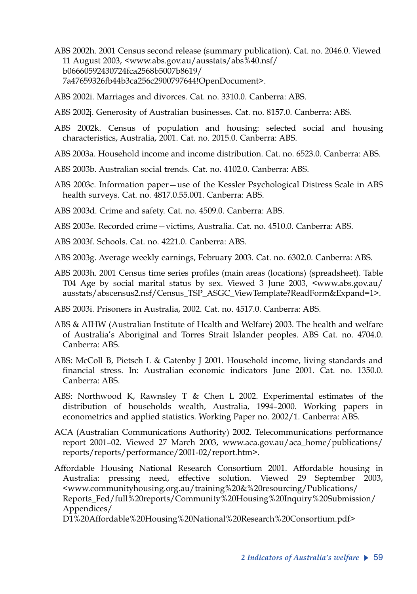- ABS 2002h. 2001 Census second release (summary publication). Cat. no. 2046.0. Viewed 11 August 2003, <www.abs.gov.au/ausstats/abs%40.nsf/ b06660592430724fca2568b5007b8619/ 7a47659326fb44b3ca256c2900797644!OpenDocument>.
- ABS 2002i. Marriages and divorces. Cat. no. 3310.0. Canberra: ABS.
- ABS 2002j. Generosity of Australian businesses. Cat. no. 8157.0. Canberra: ABS.
- ABS 2002k. Census of population and housing: selected social and housing characteristics, Australia, 2001. Cat. no. 2015.0. Canberra: ABS.
- ABS 2003a. Household income and income distribution. Cat. no. 6523.0. Canberra: ABS.
- ABS 2003b. Australian social trends. Cat. no. 4102.0. Canberra: ABS.
- ABS 2003c. Information paper—use of the Kessler Psychological Distress Scale in ABS health surveys. Cat. no. 4817.0.55.001. Canberra: ABS.
- ABS 2003d. Crime and safety. Cat. no. 4509.0. Canberra: ABS.
- ABS 2003e. Recorded crime—victims, Australia. Cat. no. 4510.0. Canberra: ABS.
- ABS 2003f. Schools. Cat. no. 4221.0. Canberra: ABS.
- ABS 2003g. Average weekly earnings, February 2003. Cat. no. 6302.0. Canberra: ABS.
- ABS 2003h. 2001 Census time series profiles (main areas (locations) (spreadsheet). Table T04 Age by social marital status by sex. Viewed 3 June 2003, <www.abs.gov.au/ ausstats/abscensus2.nsf/Census\_TSP\_ASGC\_ViewTemplate?ReadForm&Expand=1>.
- ABS 2003i. Prisoners in Australia, 2002. Cat. no. 4517.0. Canberra: ABS.
- ABS & AIHW (Australian Institute of Health and Welfare) 2003. The health and welfare of Australia's Aboriginal and Torres Strait Islander peoples. ABS Cat. no. 4704.0. Canberra: ABS.
- ABS: McColl B, Pietsch L & Gatenby J 2001. Household income, living standards and financial stress. In: Australian economic indicators June 2001. Cat. no. 1350.0. Canberra: ABS.
- ABS: Northwood K, Rawnsley T & Chen L 2002. Experimental estimates of the distribution of households wealth, Australia, 1994–2000. Working papers in econometrics and applied statistics. Working Paper no. 2002/1. Canberra: ABS.
- ACA (Australian Communications Authority) 2002. Telecommunications performance report 2001–02. Viewed 27 March 2003, www.aca.gov.au/aca\_home/publications/ reports/reports/performance/2001-02/report.htm>.
- Affordable Housing National Research Consortium 2001. Affordable housing in Australia: pressing need, effective solution. Viewed 29 September 2003, <www.communityhousing.org.au/training%20&%20resourcing/Publications/ Reports\_Fed/full%20reports/Community%20Housing%20Inquiry%20Submission/ Appendices/

D1%20Affordable%20Housing%20National%20Research%20Consortium.pdf>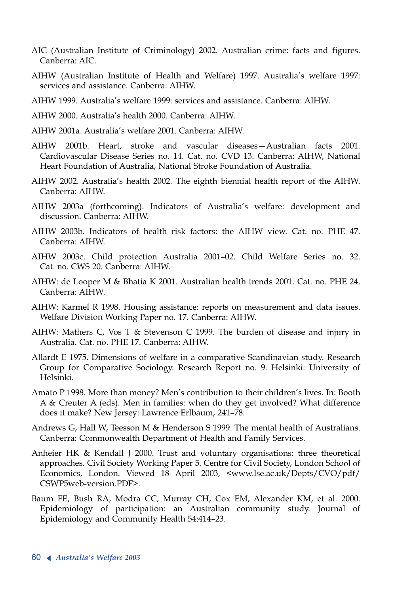- AIC (Australian Institute of Criminology) 2002. Australian crime: facts and figures. Canberra: AIC.
- AIHW (Australian Institute of Health and Welfare) 1997. Australia's welfare 1997: services and assistance. Canberra: AIHW.
- AIHW 1999. Australia's welfare 1999: services and assistance. Canberra: AIHW.
- AIHW 2000. Australia's health 2000. Canberra: AIHW.
- AIHW 2001a. Australia's welfare 2001. Canberra: AIHW.
- AIHW 2001b. Heart, stroke and vascular diseases—Australian facts 2001. Cardiovascular Disease Series no. 14. Cat. no. CVD 13. Canberra: AIHW, National Heart Foundation of Australia, National Stroke Foundation of Australia.
- AIHW 2002. Australia's health 2002. The eighth biennial health report of the AIHW. Canberra: AIHW.
- AIHW 2003a (forthcoming). Indicators of Australia's welfare: development and discussion. Canberra: AIHW.
- AIHW 2003b. Indicators of health risk factors: the AIHW view. Cat. no. PHE 47. Canberra: AIHW.
- AIHW 2003c. Child protection Australia 2001–02. Child Welfare Series no. 32. Cat. no. CWS 20. Canberra: AIHW.
- AIHW: de Looper M & Bhatia K 2001. Australian health trends 2001. Cat. no. PHE 24. Canberra: AIHW.
- AIHW: Karmel R 1998. Housing assistance: reports on measurement and data issues. Welfare Division Working Paper no. 17. Canberra: AIHW.
- AIHW: Mathers C, Vos T & Stevenson C 1999. The burden of disease and injury in Australia. Cat. no. PHE 17. Canberra: AIHW.
- Allardt E 1975. Dimensions of welfare in a comparative Scandinavian study. Research Group for Comparative Sociology. Research Report no. 9. Helsinki: University of Helsinki.
- Amato P 1998. More than money? Men's contribution to their children's lives. In: Booth <sup>A</sup> & Creuter A (eds). Men in families: when do they get involved? What difference does it make? New Jersey: Lawrence Erlbaum, 241–78.
- Andrews G, Hall W, Teesson M & Henderson S 1999. The mental health of Australians. Canberra: Commonwealth Department of Health and Family Services.
- Anheier HK & Kendall J 2000. Trust and voluntary organisations: three theoretical approaches. Civil Society Working Paper 5. Centre for Civil Society, London School of Economics, London. Viewed 18 April 2003, <www.lse.ac.uk/Depts/CVO/pdf/ CSWP5web-version.PDF>.
- Baum FE, Bush RA, Modra CC, Murray CH, Cox EM, Alexander KM, et al. 2000. Epidemiology of participation: an Australian community study. Journal of Epidemiology and Community Health 54:414–23.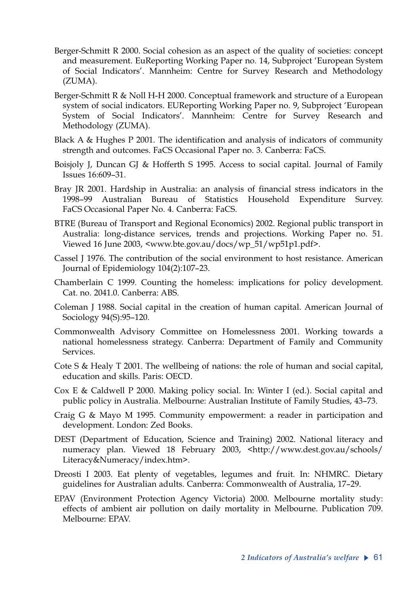- Berger-Schmitt R 2000. Social cohesion as an aspect of the quality of societies: concept and measurement. EuReporting Working Paper no. 14, Subproject 'European System of Social Indicators'. Mannheim: Centre for Survey Research and Methodology (ZUMA).
- Berger-Schmitt R & Noll H-H 2000. Conceptual framework and structure of a European system of social indicators. EUReporting Working Paper no. 9, Subproject 'European System of Social Indicators'. Mannheim: Centre for Survey Research and Methodology (ZUMA).
- Black A & Hughes P 2001. The identification and analysis of indicators of community strength and outcomes. FaCS Occasional Paper no. 3. Canberra: FaCS.
- Boisjoly J, Duncan GJ & Hofferth S 1995. Access to social capital. Journal of Family Issues 16:609–31.
- Bray JR 2001. Hardship in Australia: an analysis of financial stress indicators in the 1998–99 Australian Bureau of Statistics Household Expenditure Survey. FaCS Occasional Paper No. 4. Canberra: FaCS.
- BTRE (Bureau of Transport and Regional Economics) 2002. Regional public transport in Australia: long-distance services, trends and projections. Working Paper no. 51. Viewed 16 June 2003, <www.bte.gov.au/docs/wp\_51/wp51p1.pdf>.
- Cassel J 1976. The contribution of the social environment to host resistance. American Journal of Epidemiology 104(2):107–23.
- Chamberlain C 1999. Counting the homeless: implications for policy development. Cat. no. 2041.0. Canberra: ABS.
- Coleman J 1988. Social capital in the creation of human capital. American Journal of Sociology 94(S):95–120.
- Commonwealth Advisory Committee on Homelessness 2001. Working towards a national homelessness strategy. Canberra: Department of Family and Community Services.
- Cote S & Healy T 2001. The wellbeing of nations: the role of human and social capital, education and skills. Paris: OECD.
- Cox E & Caldwell P 2000. Making policy social. In: Winter I (ed.). Social capital and public policy in Australia. Melbourne: Australian Institute of Family Studies, 43–73.
- Craig G & Mayo M 1995. Community empowerment: a reader in participation and development. London: Zed Books.
- DEST (Department of Education, Science and Training) 2002. National literacy and numeracy plan. Viewed 18 February 2003, <http://www.dest.gov.au/schools/ Literacy&Numeracy/index.htm>.
- Dreosti I 2003. Eat plenty of vegetables, legumes and fruit. In: NHMRC. Dietary guidelines for Australian adults. Canberra: Commonwealth of Australia, 17–29.
- EPAV (Environment Protection Agency Victoria) 2000. Melbourne mortality study: effects of ambient air pollution on daily mortality in Melbourne. Publication 709. Melbourne: EPAV.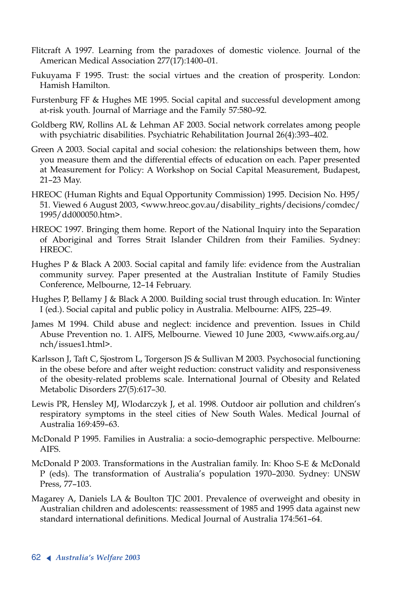- Flitcraft A 1997. Learning from the paradoxes of domestic violence. Journal of the American Medical Association 277(17):1400–01.
- Fukuyama F 1995. Trust: the social virtues and the creation of prosperity. London: Hamish Hamilton.
- Furstenburg FF & Hughes ME 1995. Social capital and successful development among at-risk youth. Journal of Marriage and the Family 57:580–92.
- Goldberg RW, Rollins AL & Lehman AF 2003. Social network correlates among people with psychiatric disabilities. Psychiatric Rehabilitation Journal 26(4):393–402.
- Green A 2003. Social capital and social cohesion: the relationships between them, how you measure them and the differential effects of education on each. Paper presented at Measurement for Policy: A Workshop on Social Capital Measurement, Budapest, 21–23 May.
- HREOC (Human Rights and Equal Opportunity Commission) 1995. Decision No. H95/ 51. Viewed 6 August 2003, <www.hreoc.gov.au/disability\_rights/decisions/comdec/ 1995/dd000050.htm>.
- HREOC 1997. Bringing them home. Report of the National Inquiry into the Separation of Aboriginal and Torres Strait Islander Children from their Families. Sydney: HREOC.
- Hughes P & Black A 2003. Social capital and family life: evidence from the Australian community survey. Paper presented at the Australian Institute of Family Studies Conference, Melbourne, 12–14 February.
- Hughes P, Bellamy J & Black A 2000. Building social trust through education. In: Winter I (ed.). Social capital and public policy in Australia. Melbourne: AIFS, 225–49.
- James M 1994. Child abuse and neglect: incidence and prevention. Issues in Child Abuse Prevention no. 1. AIFS, Melbourne. Viewed 10 June 2003, <www.aifs.org.au/ nch/issues1.html>.
- Karlsson J, Taft C, Sjostrom L, Torgerson JS & Sullivan M 2003. Psychosocial functioning in the obese before and after weight reduction: construct validity and responsiveness of the obesity-related problems scale. International Journal of Obesity and Related Metabolic Disorders 27(5):617–30.
- Lewis PR, Hensley MJ, Wlodarczyk J, et al. 1998. Outdoor air pollution and children's respiratory symptoms in the steel cities of New South Wales. Medical Journal of Australia 169:459–63.
- McDonald P 1995. Families in Australia: a socio-demographic perspective. Melbourne: AIFS.
- McDonald P 2003. Transformations in the Australian family. In: Khoo S-E & McDonald <sup>P</sup> (eds). The transformation of Australia's population 1970–2030. Sydney: UNSW Press, 77–103.
- Magarey A, Daniels LA & Boulton TJC 2001. Prevalence of overweight and obesity in Australian children and adolescents: reassessment of 1985 and 1995 data against new standard international definitions. Medical Journal of Australia 174:561–64.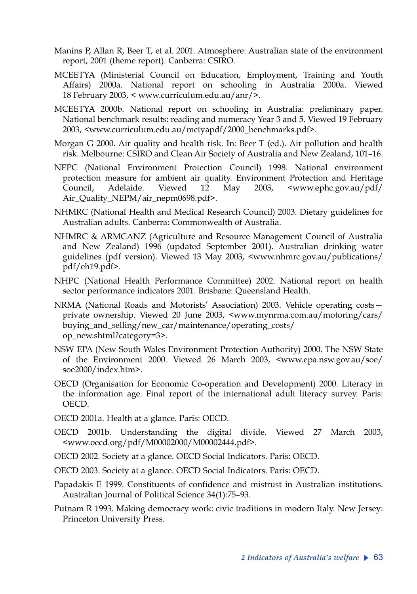- Manins P, Allan R, Beer T, et al. 2001. Atmosphere: Australian state of the environment report, 2001 (theme report). Canberra: CSIRO.
- MCEETYA (Ministerial Council on Education, Employment, Training and Youth Affairs) 2000a. National report on schooling in Australia 2000a. Viewed 18 February 2003, < www.curriculum.edu.au/anr/>.
- MCEETYA 2000b. National report on schooling in Australia: preliminary paper. National benchmark results: reading and numeracy Year 3 and 5. Viewed 19 February 2003, <www.curriculum.edu.au/mctyapdf/2000\_benchmarks.pdf>.
- Morgan G 2000. Air quality and health risk. In: Beer T (ed.). Air pollution and health risk. Melbourne: CSIRO and Clean Air Society of Australia and New Zealand, 101–16.
- NEPC (National Environment Protection Council) 1998. National environment protection measure for ambient air quality. Environment Protection and Heritage Council, Adelaide. Viewed 12 May 2003, <www.ephc.gov.au/pdf/ Air\_Quality\_NEPM/air\_nepm0698.pdf>.
- NHMRC (National Health and Medical Research Council) 2003. Dietary guidelines for Australian adults. Canberra: Commonwealth of Australia.
- NHMRC & ARMCANZ (Agriculture and Resource Management Council of Australia and New Zealand) 1996 (updated September 2001). Australian drinking water guidelines (pdf version). Viewed 13 May 2003, <www.nhmrc.gov.au/publications/ pdf/eh19.pdf>.
- NHPC (National Health Performance Committee) 2002. National report on health sector performance indicators 2001. Brisbane: Queensland Health.
- NRMA (National Roads and Motorists' Association) 2003. Vehicle operating costs private ownership. Viewed 20 June 2003, <www.mynrma.com.au/motoring/cars/ buying\_and\_selling/new\_car/maintenance/operating\_costs/ op\_new.shtml?category=3>.
- NSW EPA (New South Wales Environment Protection Authority) 2000. The NSW State of the Environment 2000. Viewed 26 March 2003, <www.epa.nsw.gov.au/soe/ soe2000/index.htm>.
- OECD (Organisation for Economic Co-operation and Development) 2000. Literacy in the information age. Final report of the international adult literacy survey. Paris: OECD.
- OECD 2001a. Health at a glance. Paris: OECD.
- OECD 2001b. Understanding the digital divide. Viewed 27 March 2003, <www.oecd.org/pdf/M00002000/M00002444.pdf>.
- OECD 2002. Society at a glance. OECD Social Indicators. Paris: OECD.
- OECD 2003. Society at a glance. OECD Social Indicators. Paris: OECD.
- Papadakis E 1999. Constituents of confidence and mistrust in Australian institutions. Australian Journal of Political Science 34(1):75–93.
- Putnam R 1993. Making democracy work: civic traditions in modern Italy. New Jersey: Princeton University Press.